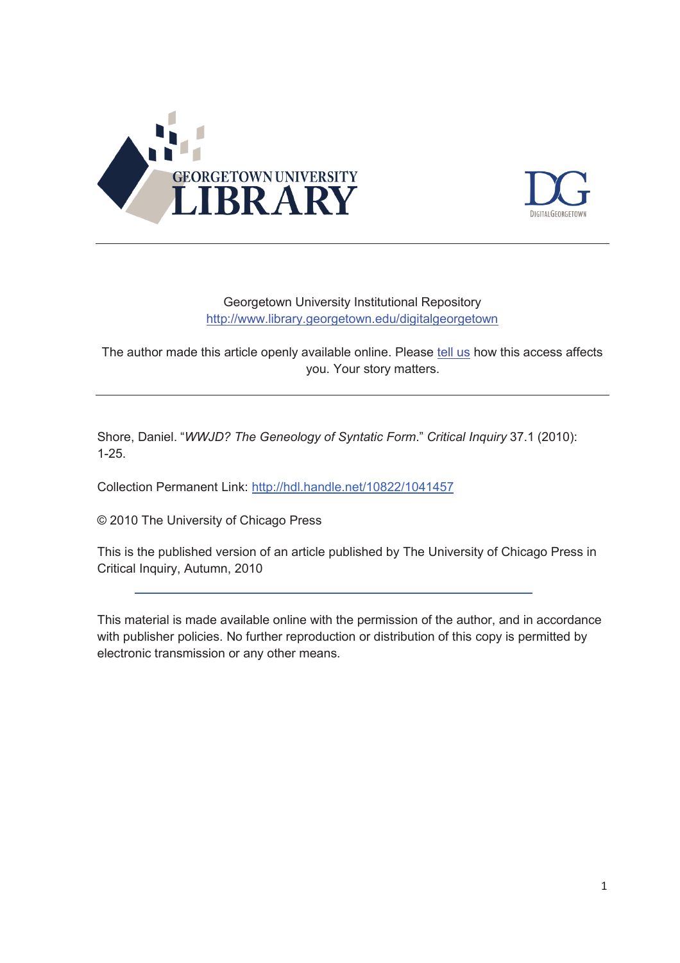



# Georgetown University Institutional Repository http://www.library.georgetown.edu/digitalgeorgetown

The author made this article openly available online. Please [tell us](https://www.library.georgetown.edu/ir/share-story) how this access affects you. Your story matters.

Shore, Daniel. "*WWJD? The Geneology of Syntatic Form.*" *Critical Inquiry* 37.1 (2010):  $1-25.$ 

Collection Permanent Link: [http://hdl.handle.net/10822/](https://repository.library.georgetown.edu/handle/10822/1041457)1041457

© 2010 The University of Chicago Press

This is the published version of an article published by The University of Chicago Press in Critical Inquiry, Autumn, 2010

This material is made available online with the permission of the author, and in accordance with publisher policies. No further reproduction or distribution of this copy is permitted by electronic transmission or any other means.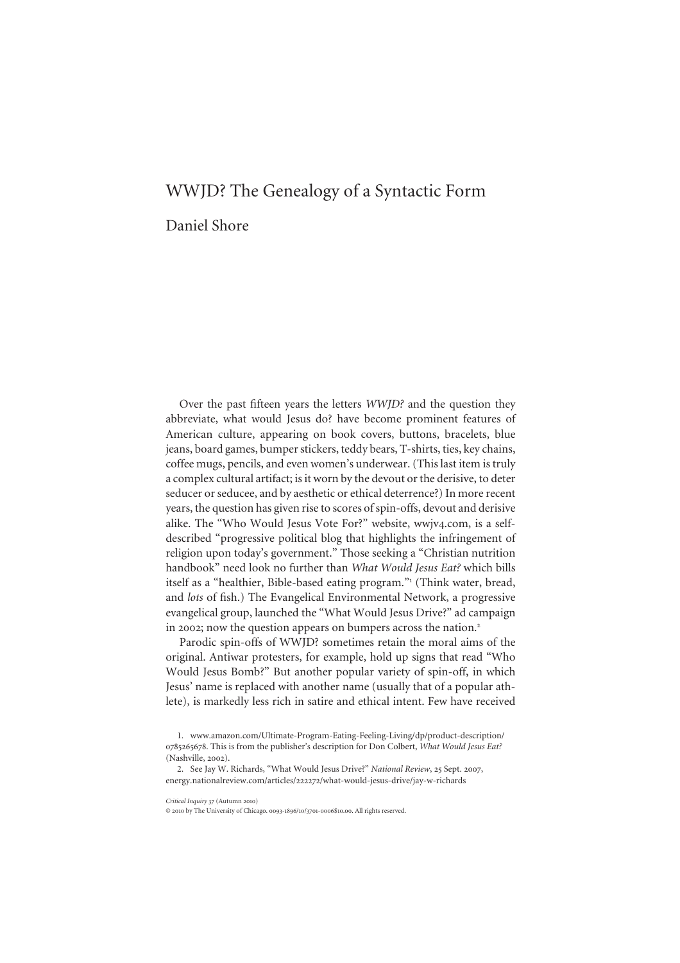# WWJD? The Genealogy of a Syntactic Form

## Daniel Shore

Over the past fifteen years the letters *WWJD?* and the question they abbreviate, what would Jesus do? have become prominent features of American culture, appearing on book covers, buttons, bracelets, blue jeans, board games, bumper stickers, teddy bears, T-shirts, ties, key chains, coffee mugs, pencils, and even women's underwear. (This last item is truly a complex cultural artifact; is it worn by the devout or the derisive, to deter seducer or seducee, and by aesthetic or ethical deterrence?) In more recent years, the question has given rise to scores of spin-offs, devout and derisive alike. The "Who Would Jesus Vote For?" website, wwjv4.com, is a selfdescribed "progressive political blog that highlights the infringement of religion upon today's government." Those seeking a "Christian nutrition handbook" need look no further than *What Would Jesus Eat?* which bills itself as a "healthier, Bible-based eating program."<sup>1</sup> (Think water, bread, and *lots* of fish.) The Evangelical Environmental Network, a progressive evangelical group, launched the "What Would Jesus Drive?" ad campaign in 2002; now the question appears on bumpers across the nation.<sup>2</sup>

Parodic spin-offs of WWJD? sometimes retain the moral aims of the original. Antiwar protesters, for example, hold up signs that read "Who Would Jesus Bomb?" But another popular variety of spin-off, in which Jesus' name is replaced with another name (usually that of a popular athlete), is markedly less rich in satire and ethical intent. Few have received

<sup>1.</sup> www.amazon.com/Ultimate-Program-Eating-Feeling-Living/dp/product-description/ 0785265678. This is from the publisher's description for Don Colbert, *What Would Jesus Eat?* (Nashville, 2002).

<sup>2.</sup> See Jay W. Richards, "What Would Jesus Drive?" *National Review*, 25 Sept. 2007, energy.nationalreview.com/articles/222272/what-would-jesus-drive/jay-w-richards

*Critical Inquiry* 37 (Autumn 2010)

<sup>©</sup> 2010 by The University of Chicago. 0093-1896/10/3701-0006\$10.00. All rights reserved.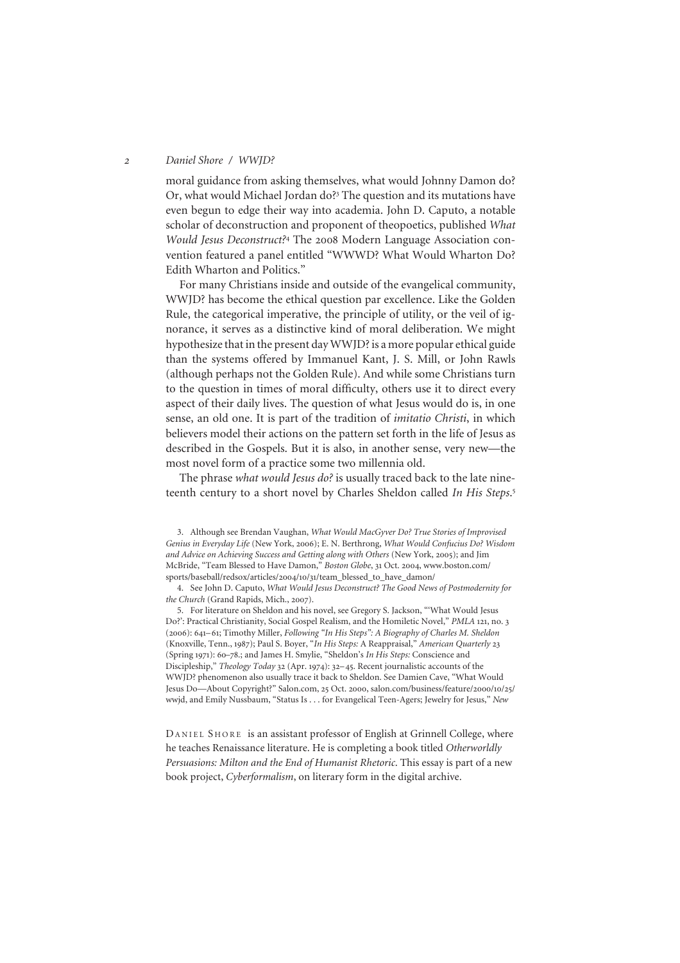moral guidance from asking themselves, what would Johnny Damon do? Or, what would Michael Jordan do?<sup>3</sup> The question and its mutations have even begun to edge their way into academia. John D. Caputo, a notable scholar of deconstruction and proponent of theopoetics, published *What Would Jesus Deconstruct?*<sup>4</sup> The 2008 Modern Language Association convention featured a panel entitled "WWWD? What Would Wharton Do? Edith Wharton and Politics."

For many Christians inside and outside of the evangelical community, WWJD? has become the ethical question par excellence. Like the Golden Rule, the categorical imperative, the principle of utility, or the veil of ignorance, it serves as a distinctive kind of moral deliberation. We might hypothesize that in the present day WWJD? is a more popular ethical guide than the systems offered by Immanuel Kant, J. S. Mill, or John Rawls (although perhaps not the Golden Rule). And while some Christians turn to the question in times of moral difficulty, others use it to direct every aspect of their daily lives. The question of what Jesus would do is, in one sense, an old one. It is part of the tradition of *imitatio Christi*, in which believers model their actions on the pattern set forth in the life of Jesus as described in the Gospels. But it is also, in another sense, very new—the most novel form of a practice some two millennia old.

The phrase *what would Jesus do?* is usually traced back to the late nineteenth century to a short novel by Charles Sheldon called *In His Steps*. 5

DANIEL SHORE is an assistant professor of English at Grinnell College, where he teaches Renaissance literature. He is completing a book titled *Otherworldly Persuasions: Milton and the End of Humanist Rhetoric*. This essay is part of a new book project, *Cyberformalism*, on literary form in the digital archive.

<sup>3.</sup> Although see Brendan Vaughan, *What Would MacGyver Do? True Stories of Improvised Genius in Everyday Life* (New York, 2006); E. N. Berthrong, *What Would Confucius Do? Wisdom and Advice on Achieving Success and Getting along with Others* (New York, 2005); and Jim McBride, "Team Blessed to Have Damon," *Boston Globe*, 31 Oct. 2004, www.boston.com/ sports/baseball/redsox/articles/2004/10/31/team\_blessed\_to\_have\_damon/

<sup>4.</sup> See John D. Caputo, *What Would Jesus Deconstruct? The Good News of Postmodernity for the Church* (Grand Rapids, Mich., 2007).

<sup>5.</sup> For literature on Sheldon and his novel, see Gregory S. Jackson, "'What Would Jesus Do?': Practical Christianity, Social Gospel Realism, and the Homiletic Novel," *PMLA* 121, no. 3 (2006): 641–61; Timothy Miller, *Following "In His Steps": A Biography of Charles M. Sheldon* (Knoxville, Tenn., 1987); Paul S. Boyer, "*In His Steps:* A Reappraisal," *American Quarterly* 23 (Spring 1971): 60–78.; and James H. Smylie, "Sheldon's *In His Steps:* Conscience and Discipleship," *Theology Today* 32 (Apr. 1974): 32–45. Recent journalistic accounts of the WWJD? phenomenon also usually trace it back to Sheldon. See Damien Cave, "What Would Jesus Do—About Copyright?" Salon.com, 25 Oct. 2000, salon.com/business/feature/2000/10/25/ wwjd, and Emily Nussbaum, "Status Is . . . for Evangelical Teen-Agers; Jewelry for Jesus," *New*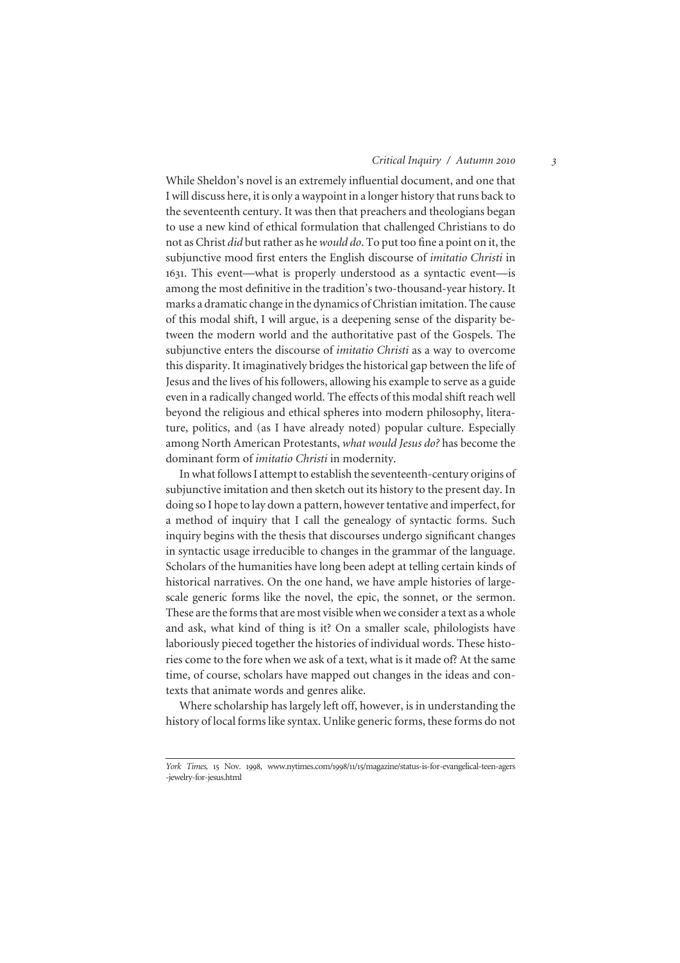#### *Critical Inquiry / Autumn 2010 3*

While Sheldon's novel is an extremely influential document, and one that I will discuss here, it is only a waypoint in a longer history that runs back to the seventeenth century. It was then that preachers and theologians began to use a new kind of ethical formulation that challenged Christians to do not as Christ *did* but rather as he *would do*. To put too fine a point on it, the subjunctive mood first enters the English discourse of *imitatio Christi* in 1631. This event—what is properly understood as a syntactic event—is among the most definitive in the tradition's two-thousand-year history. It marks a dramatic change in the dynamics of Christian imitation. The cause of this modal shift, I will argue, is a deepening sense of the disparity between the modern world and the authoritative past of the Gospels. The subjunctive enters the discourse of *imitatio Christi* as a way to overcome this disparity. It imaginatively bridges the historical gap between the life of Jesus and the lives of his followers, allowing his example to serve as a guide even in a radically changed world. The effects of this modal shift reach well beyond the religious and ethical spheres into modern philosophy, literature, politics, and (as I have already noted) popular culture. Especially among North American Protestants, *what would Jesus do?* has become the dominant form of *imitatio Christi* in modernity.

In what follows I attempt to establish the seventeenth-century origins of subjunctive imitation and then sketch out its history to the present day. In doing so I hope to lay down a pattern, however tentative and imperfect, for a method of inquiry that I call the genealogy of syntactic forms. Such inquiry begins with the thesis that discourses undergo significant changes in syntactic usage irreducible to changes in the grammar of the language. Scholars of the humanities have long been adept at telling certain kinds of historical narratives. On the one hand, we have ample histories of largescale generic forms like the novel, the epic, the sonnet, or the sermon. These are the forms that are most visible when we consider a text as a whole and ask, what kind of thing is it? On a smaller scale, philologists have laboriously pieced together the histories of individual words. These histories come to the fore when we ask of a text, what is it made of? At the same time, of course, scholars have mapped out changes in the ideas and contexts that animate words and genres alike.

Where scholarship has largely left off, however, is in understanding the history of local forms like syntax. Unlike generic forms, these forms do not

*York Times,* 15 Nov. 1998, www.nytimes.com/1998/11/15/magazine/status-is-for-evangelical-teen-agers -jewelry-for-jesus.html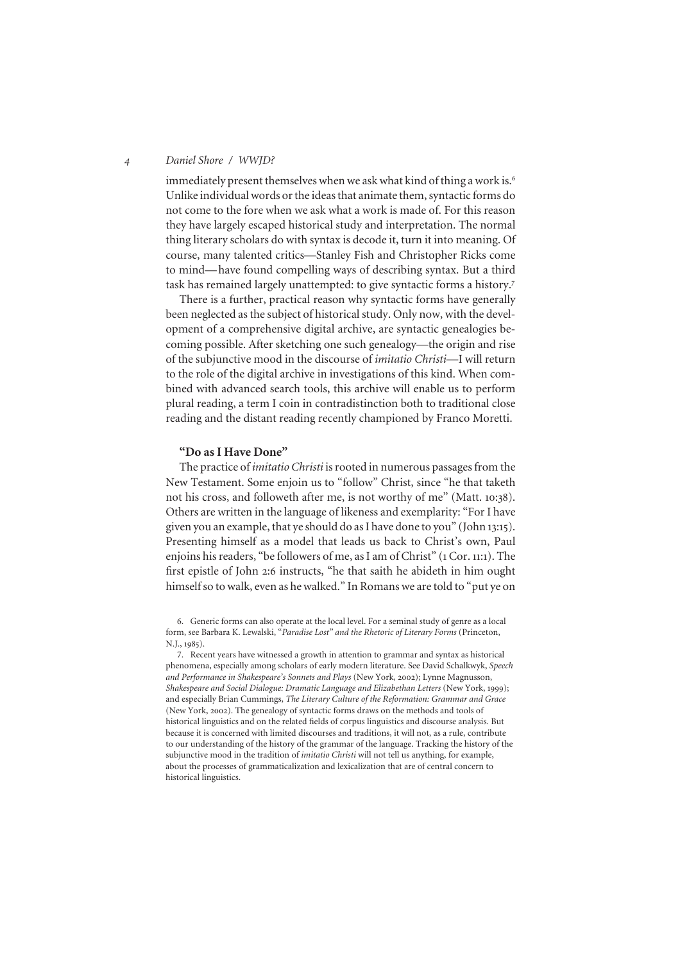immediately present themselves when we ask what kind of thing a work is.<sup>6</sup> Unlike individual words or the ideas that animate them, syntactic forms do not come to the fore when we ask what a work is made of. For this reason they have largely escaped historical study and interpretation. The normal thing literary scholars do with syntax is decode it, turn it into meaning. Of course, many talented critics—Stanley Fish and Christopher Ricks come to mind— have found compelling ways of describing syntax. But a third task has remained largely unattempted: to give syntactic forms a history.<sup>7</sup>

There is a further, practical reason why syntactic forms have generally been neglected as the subject of historical study. Only now, with the development of a comprehensive digital archive, are syntactic genealogies becoming possible. After sketching one such genealogy—the origin and rise of the subjunctive mood in the discourse of *imitatio Christi*—I will return to the role of the digital archive in investigations of this kind. When combined with advanced search tools, this archive will enable us to perform plural reading, a term I coin in contradistinction both to traditional close reading and the distant reading recently championed by Franco Moretti.

### **"Do as I Have Done"**

The practice of *imitatio Christi* is rooted in numerous passages from the New Testament. Some enjoin us to "follow" Christ, since "he that taketh not his cross, and followeth after me, is not worthy of me" (Matt. 10:38). Others are written in the language of likeness and exemplarity: "For I have given you an example, that ye should do as I have done to you" (John 13:15). Presenting himself as a model that leads us back to Christ's own, Paul enjoins his readers, "be followers of me, as I am of Christ" (1 Cor. 11:1). The first epistle of John 2:6 instructs, "he that saith he abideth in him ought himself so to walk, even as he walked." In Romans we are told to "put ye on

<sup>6.</sup> Generic forms can also operate at the local level. For a seminal study of genre as a local form, see Barbara K. Lewalski, "*Paradise Lost" and the Rhetoric of Literary Forms* (Princeton, N.J., 1985).

<sup>7.</sup> Recent years have witnessed a growth in attention to grammar and syntax as historical phenomena, especially among scholars of early modern literature. See David Schalkwyk, *Speech and Performance in Shakespeare's Sonnets and Plays* (New York, 2002); Lynne Magnusson, *Shakespeare and Social Dialogue: Dramatic Language and Elizabethan Letters* (New York, 1999); and especially Brian Cummings, *The Literary Culture of the Reformation: Grammar and Grace* (New York, 2002). The genealogy of syntactic forms draws on the methods and tools of historical linguistics and on the related fields of corpus linguistics and discourse analysis. But because it is concerned with limited discourses and traditions, it will not, as a rule, contribute to our understanding of the history of the grammar of the language. Tracking the history of the subjunctive mood in the tradition of *imitatio Christi* will not tell us anything, for example, about the processes of grammaticalization and lexicalization that are of central concern to historical linguistics.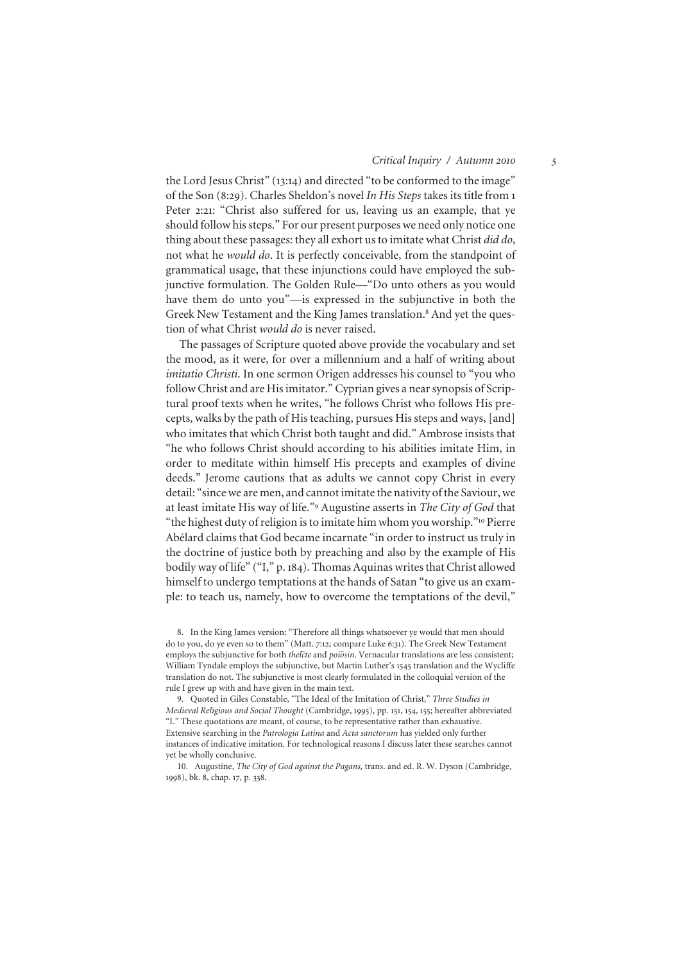#### *Critical Inquiry / Autumn 2010 5*

the Lord Jesus Christ" (13:14) and directed "to be conformed to the image" of the Son (8:29). Charles Sheldon's novel *In His Steps* takes its title from 1 Peter 2:21: "Christ also suffered for us, leaving us an example, that ye should follow his steps." For our present purposes we need only notice one thing about these passages: they all exhort us to imitate what Christ *did do*, not what he *would do*. It is perfectly conceivable, from the standpoint of grammatical usage, that these injunctions could have employed the subjunctive formulation. The Golden Rule—"Do unto others as you would have them do unto you"—is expressed in the subjunctive in both the Greek New Testament and the King James translation.<sup>8</sup> And yet the question of what Christ *would do* is never raised.

The passages of Scripture quoted above provide the vocabulary and set the mood, as it were, for over a millennium and a half of writing about *imitatio Christi*. In one sermon Origen addresses his counsel to "you who follow Christ and are His imitator." Cyprian gives a near synopsis of Scriptural proof texts when he writes, "he follows Christ who follows His precepts, walks by the path of His teaching, pursues His steps and ways, [and] who imitates that which Christ both taught and did." Ambrose insists that "he who follows Christ should according to his abilities imitate Him, in order to meditate within himself His precepts and examples of divine deeds." Jerome cautions that as adults we cannot copy Christ in every detail: "since we are men, and cannot imitate the nativity of the Saviour, we at least imitate His way of life."<sup>9</sup> Augustine asserts in *The City of God* that "the highest duty of religion is to imitate him whom you worship."<sup>10</sup> Pierre Abélard claims that God became incarnate "in order to instruct us truly in the doctrine of justice both by preaching and also by the example of His bodily way of life" ("I," p. 184). Thomas Aquinas writes that Christ allowed himself to undergo temptations at the hands of Satan "to give us an example: to teach us, namely, how to overcome the temptations of the devil,"

8. In the King James version: "Therefore all things whatsoever ye would that men should do to you, do ye even so to them" (Matt. 7:12; compare Luke 6:31). The Greek New Testament employs the subjunctive for both *thelcte* and *poiosin*. Vernacular translations are less consistent; William Tyndale employs the subjunctive, but Martin Luther's 1545 translation and the Wycliffe translation do not. The subjunctive is most clearly formulated in the colloquial version of the rule I grew up with and have given in the main text.

9. Quoted in Giles Constable, "The Ideal of the Imitation of Christ," *Three Studies in Medieval Religious and Social Thought* (Cambridge, 1995), pp. 151, 154, 155; hereafter abbreviated "I." These quotations are meant, of course, to be representative rather than exhaustive. Extensive searching in the *Patrologia Latina* and *Acta sanctorum* has yielded only further instances of indicative imitation. For technological reasons I discuss later these searches cannot yet be wholly conclusive.

10. Augustine, *The City of God against the Pagans,* trans. and ed. R. W. Dyson (Cambridge, 1998), bk. 8, chap. 17, p. 338.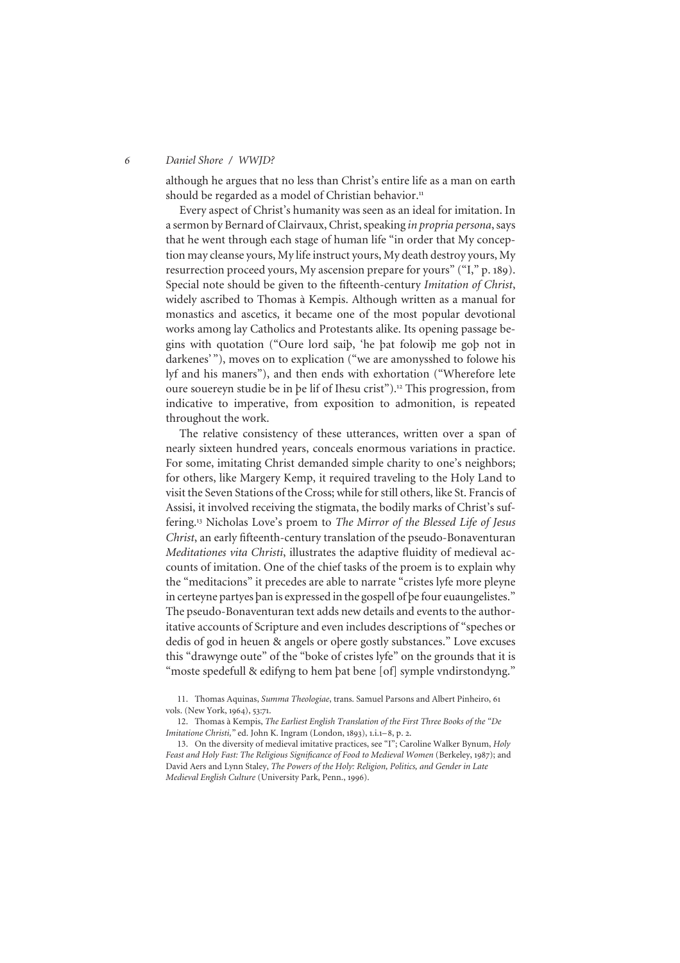although he argues that no less than Christ's entire life as a man on earth should be regarded as a model of Christian behavior.<sup>11</sup>

Every aspect of Christ's humanity was seen as an ideal for imitation. In a sermon by Bernard of Clairvaux, Christ, speaking *in propria persona*, says that he went through each stage of human life "in order that My conception may cleanse yours, My life instruct yours, My death destroy yours, My resurrection proceed yours, My ascension prepare for yours" ("I," p. 189). Special note should be given to the fifteenth-century *Imitation of Christ*, widely ascribed to Thomas à Kempis. Although written as a manual for monastics and ascetics, it became one of the most popular devotional works among lay Catholics and Protestants alike. Its opening passage begins with quotation ("Oure lord saiþ, 'he þat folowiþ me goþ not in darkenes'"), moves on to explication ("we are amonysshed to folowe his lyf and his maners"), and then ends with exhortation ("Wherefore lete oure souereyn studie be in þe lif of Ih*e*su crist").<sup>12</sup> This progression, from indicative to imperative, from exposition to admonition, is repeated throughout the work.

The relative consistency of these utterances, written over a span of nearly sixteen hundred years, conceals enormous variations in practice. For some, imitating Christ demanded simple charity to one's neighbors; for others, like Margery Kemp, it required traveling to the Holy Land to visit the Seven Stations of the Cross; while for still others, like St. Francis of Assisi, it involved receiving the stigmata, the bodily marks of Christ's suffering.<sup>13</sup> Nicholas Love's proem to *The Mirror of the Blessed Life of Jesus Christ*, an early fifteenth-century translation of the pseudo-Bonaventuran *Meditationes vita Christi*, illustrates the adaptive fluidity of medieval accounts of imitation. One of the chief tasks of the proem is to explain why the "meditacions" it precedes are able to narrate "cristes lyfe more pleyne in certeyne partyes þan is expressed in the gospell of þe four euaungelistes." The pseudo-Bonaventuran text adds new details and events to the authoritative accounts of Scripture and even includes descriptions of "speches or dedis of god in heuen & angels or oþere gostly substances." Love excuses this "drawynge oute" of the "boke of cristes lyfe" on the grounds that it is "moste spedefull & edifyng to hem þat bene [of] symple vndirstondyng."

<sup>11.</sup> Thomas Aquinas, *Summa Theologiae*, trans. Samuel Parsons and Albert Pinheiro, 61 vols. (New York, 1964), 53:71.

<sup>12.</sup> Thomas à Kempis, *The Earliest English Translation of the First Three Books of the "De Imitatione Christi,"* ed. John K. Ingram (London, 1893), 1.i.1–8, p. 2.

<sup>13.</sup> On the diversity of medieval imitative practices, see "I"; Caroline Walker Bynum, *Holy Feast and Holy Fast: The Religious Significance of Food to Medieval Women* (Berkeley, 1987); and David Aers and Lynn Staley, *The Powers of the Holy: Religion, Politics, and Gender in Late Medieval English Culture* (University Park, Penn., 1996).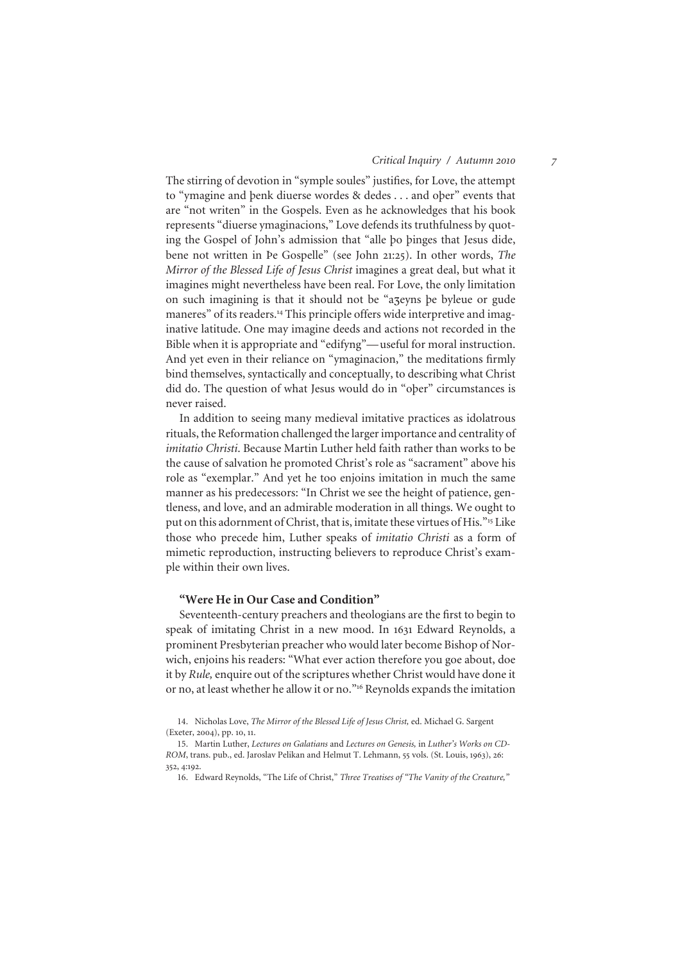The stirring of devotion in "symple soules" justifies, for Love, the attempt to "ymagine and þenk diuerse wordes & dedes . . . and oþer" events that are "not writen" in the Gospels. Even as he acknowledges that his book represents "diuerse ymaginacions," Love defends its truthfulness by quoting the Gospel of John's admission that "alle þo þinges that Jesus dide, bene not written in Þe Gospelle" (see John 21:25). In other words, *The Mirror of the Blessed Life of Jesus Christ* imagines a great deal, but what it imagines might nevertheless have been real. For Love, the only limitation on such imagining is that it should not be "azeyns be byleue or gude" maneres" of its readers.<sup>14</sup> This principle offers wide interpretive and imaginative latitude. One may imagine deeds and actions not recorded in the Bible when it is appropriate and "edifyng"— useful for moral instruction. And yet even in their reliance on "ymaginacion," the meditations firmly bind themselves, syntactically and conceptually, to describing what Christ did do. The question of what Jesus would do in "oþer" circumstances is never raised.

In addition to seeing many medieval imitative practices as idolatrous rituals, the Reformation challenged the larger importance and centrality of *imitatio Christi*. Because Martin Luther held faith rather than works to be the cause of salvation he promoted Christ's role as "sacrament" above his role as "exemplar." And yet he too enjoins imitation in much the same manner as his predecessors: "In Christ we see the height of patience, gentleness, and love, and an admirable moderation in all things. We ought to put on this adornment of Christ, that is, imitate these virtues of His."<sup>15</sup> Like those who precede him, Luther speaks of *imitatio Christi* as a form of mimetic reproduction, instructing believers to reproduce Christ's example within their own lives.

### **"Were He in Our Case and Condition"**

Seventeenth-century preachers and theologians are the first to begin to speak of imitating Christ in a new mood. In 1631 Edward Reynolds, a prominent Presbyterian preacher who would later become Bishop of Norwich, enjoins his readers: "What ever action therefore you goe about, doe it by *Rule,* enquire out of the scriptures whether Christ would have done it or no, at least whether he allow it or no."<sup>16</sup> Reynolds expands the imitation

<sup>14.</sup> Nicholas Love, *The Mirror of the Blessed Life of Jesus Christ,* ed. Michael G. Sargent (Exeter, 2004), pp. 10, 11.

<sup>15.</sup> Martin Luther, *Lectures on Galatians* and *Lectures on Genesis,* in *Luther's Works on CD-ROM*, trans. pub., ed. Jaroslav Pelikan and Helmut T. Lehmann, 55 vols. (St. Louis, 1963), 26: 352, 4:192.

<sup>16.</sup> Edward Reynolds, "The Life of Christ," *Three Treatises of "The Vanity of the Creature,"*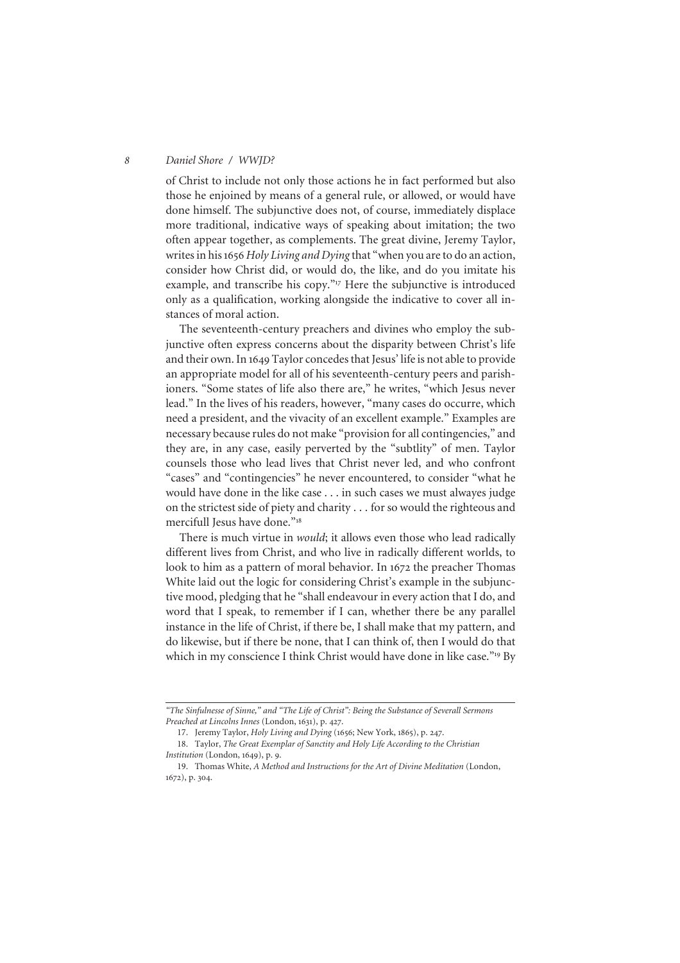of Christ to include not only those actions he in fact performed but also those he enjoined by means of a general rule, or allowed, or would have done himself. The subjunctive does not, of course, immediately displace more traditional, indicative ways of speaking about imitation; the two often appear together, as complements. The great divine, Jeremy Taylor, writes in his 1656 *Holy Living and Dying* that "when you are to do an action, consider how Christ did, or would do, the like, and do you imitate his example, and transcribe his copy."<sup>17</sup> Here the subjunctive is introduced only as a qualification, working alongside the indicative to cover all instances of moral action.

The seventeenth-century preachers and divines who employ the subjunctive often express concerns about the disparity between Christ's life and their own. In 1649 Taylor concedes that Jesus' life is not able to provide an appropriate model for all of his seventeenth-century peers and parishioners. "Some states of life also there are," he writes, "which Jesus never lead." In the lives of his readers, however, "many cases do occurre, which need a president, and the vivacity of an excellent example." Examples are necessary because rules do not make "provision for all contingencies," and they are, in any case, easily perverted by the "subtlity" of men. Taylor counsels those who lead lives that Christ never led, and who confront "cases" and "contingencies" he never encountered, to consider "what he would have done in the like case . . . in such cases we must alwayes judge on the strictest side of piety and charity . . . for so would the righteous and mercifull Jesus have done."<sup>18</sup>

There is much virtue in *would*; it allows even those who lead radically different lives from Christ, and who live in radically different worlds, to look to him as a pattern of moral behavior. In 1672 the preacher Thomas White laid out the logic for considering Christ's example in the subjunctive mood, pledging that he "shall endeavour in every action that I do, and word that I speak, to remember if I can, whether there be any parallel instance in the life of Christ, if there be, I shall make that my pattern, and do likewise, but if there be none, that I can think of, then I would do that which in my conscience I think Christ would have done in like case."<sup>19</sup> By

*<sup>&</sup>quot;The Sinfulnesse of Sinne," and "The Life of Christ": Being the Substance of Severall Sermons Preached at Lincolns Innes* (London, 1631), p. 427.

<sup>17.</sup> Jeremy Taylor, *Holy Living and Dying* (1656; New York, 1865), p. 247.

<sup>18.</sup> Taylor, *The Great Exemplar of Sanctity and Holy Life According to the Christian Institution* (London, 1649), p. 9.

<sup>19.</sup> Thomas White, *A Method and Instructions for the Art of Divine Meditation* (London, 1672), p. 304.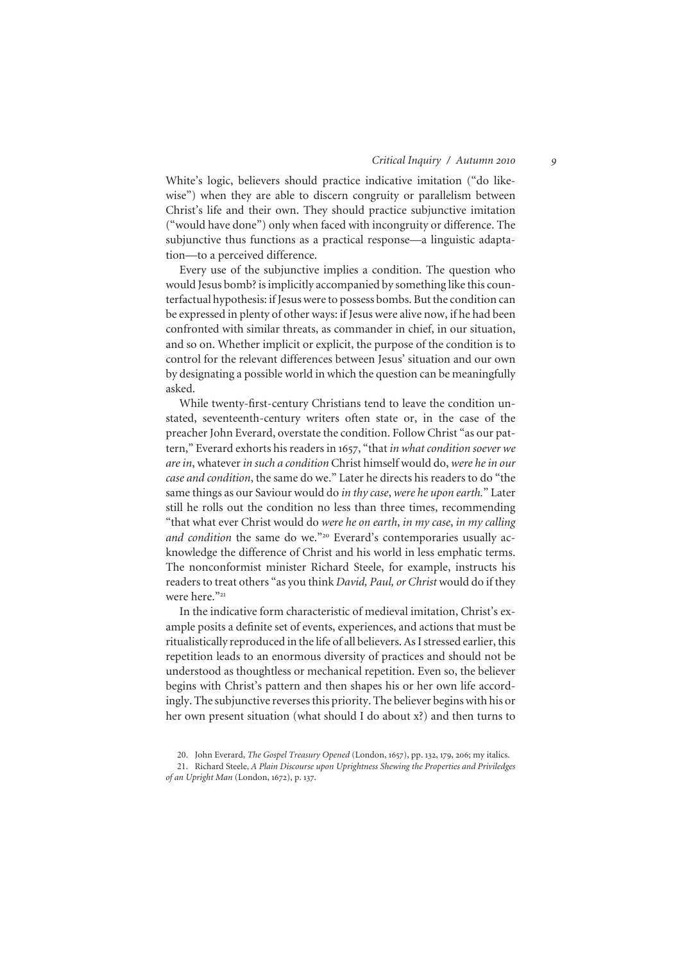White's logic, believers should practice indicative imitation ("do likewise") when they are able to discern congruity or parallelism between Christ's life and their own. They should practice subjunctive imitation ("would have done") only when faced with incongruity or difference. The subjunctive thus functions as a practical response—a linguistic adaptation—to a perceived difference.

Every use of the subjunctive implies a condition. The question who would Jesus bomb? is implicitly accompanied by something like this counterfactual hypothesis: if Jesus were to possess bombs. But the condition can be expressed in plenty of other ways: if Jesus were alive now, if he had been confronted with similar threats, as commander in chief, in our situation, and so on. Whether implicit or explicit, the purpose of the condition is to control for the relevant differences between Jesus' situation and our own by designating a possible world in which the question can be meaningfully asked.

While twenty-first-century Christians tend to leave the condition unstated, seventeenth-century writers often state or, in the case of the preacher John Everard, overstate the condition. Follow Christ "as our pattern," Everard exhorts his readers in 1657, "that *in what condition soever we are in*, whatever *in such a condition* Christ himself would do, *were he in our case and condition*, the same do we." Later he directs his readers to do "the same things as our Saviour would do *in thy case*, *were he upon earth.*" Later still he rolls out the condition no less than three times, recommending "that what ever Christ would do *were he on earth*, *in my case*, *in my calling* and condition the same do we."<sup>20</sup> Everard's contemporaries usually acknowledge the difference of Christ and his world in less emphatic terms. The nonconformist minister Richard Steele, for example, instructs his readers to treat others "as you think *David, Paul, or Christ* would do if they were here."21

In the indicative form characteristic of medieval imitation, Christ's example posits a definite set of events, experiences, and actions that must be ritualistically reproduced in the life of all believers. As I stressed earlier, this repetition leads to an enormous diversity of practices and should not be understood as thoughtless or mechanical repetition. Even so, the believer begins with Christ's pattern and then shapes his or her own life accordingly. The subjunctive reverses this priority. The believer begins with his or her own present situation (what should I do about x?) and then turns to

<sup>20.</sup> John Everard, *The Gospel Treasury Opened* (London, 1657), pp. 132, 179, 206; my italics.

<sup>21.</sup> Richard Steele, *A Plain Discourse upon Uprightness Shewing the Properties and Priviledges of an Upright Man* (London, 1672), p. 137.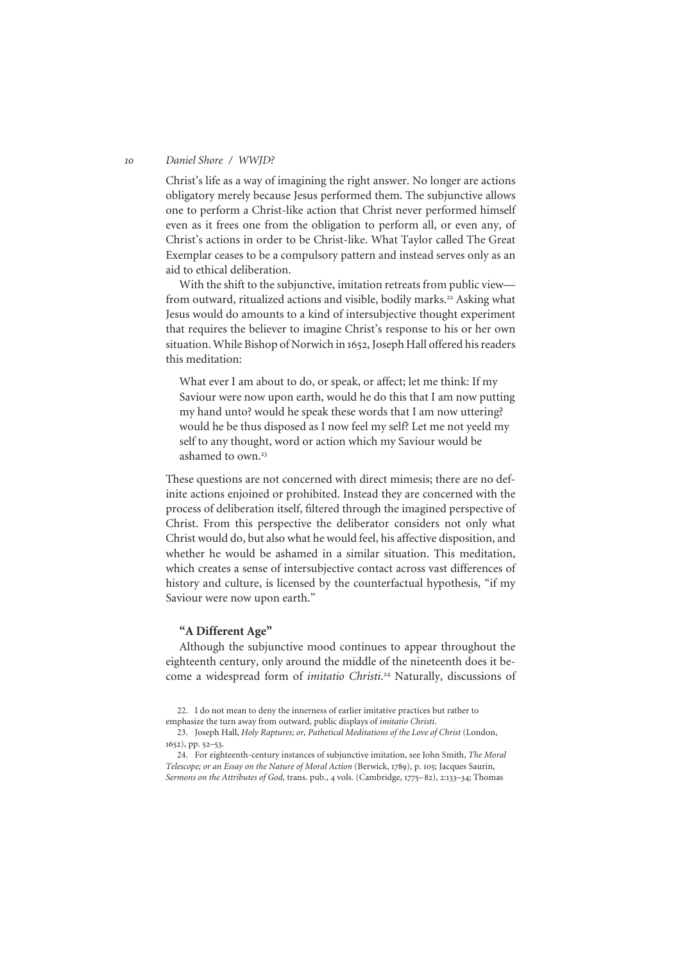Christ's life as a way of imagining the right answer. No longer are actions obligatory merely because Jesus performed them. The subjunctive allows one to perform a Christ-like action that Christ never performed himself even as it frees one from the obligation to perform all, or even any, of Christ's actions in order to be Christ-like. What Taylor called The Great Exemplar ceases to be a compulsory pattern and instead serves only as an aid to ethical deliberation.

With the shift to the subjunctive, imitation retreats from public view from outward, ritualized actions and visible, bodily marks.<sup>22</sup> Asking what Jesus would do amounts to a kind of intersubjective thought experiment that requires the believer to imagine Christ's response to his or her own situation. While Bishop of Norwich in 1652, Joseph Hall offered his readers this meditation:

What ever I am about to do, or speak, or affect; let me think: If my Saviour were now upon earth, would he do this that I am now putting my hand unto? would he speak these words that I am now uttering? would he be thus disposed as I now feel my self? Let me not yeeld my self to any thought, word or action which my Saviour would be ashamed to own.<sup>23</sup>

These questions are not concerned with direct mimesis; there are no definite actions enjoined or prohibited. Instead they are concerned with the process of deliberation itself, filtered through the imagined perspective of Christ. From this perspective the deliberator considers not only what Christ would do, but also what he would feel, his affective disposition, and whether he would be ashamed in a similar situation. This meditation, which creates a sense of intersubjective contact across vast differences of history and culture, is licensed by the counterfactual hypothesis, "if my Saviour were now upon earth."

### **"A Different Age"**

Although the subjunctive mood continues to appear throughout the eighteenth century, only around the middle of the nineteenth does it become a widespread form of *imitatio Christi*. <sup>24</sup> Naturally, discussions of

<sup>22.</sup> I do not mean to deny the innerness of earlier imitative practices but rather to emphasize the turn away from outward, public displays of *imitatio Christi*.

<sup>23.</sup> Joseph Hall, *Holy Raptures; or, Pathetical Meditations of the Love of Christ* (London, 1652), pp. 52–53.

<sup>24.</sup> For eighteenth-century instances of subjunctive imitation, see John Smith, *The Moral Telescope; or an Essay on the Nature of Moral Action* (Berwick, 1789), p. 105; Jacques Saurin, *Sermons on the Attributes of God,* trans. pub., 4 vols. (Cambridge, 1775–82), 2:133–34; Thomas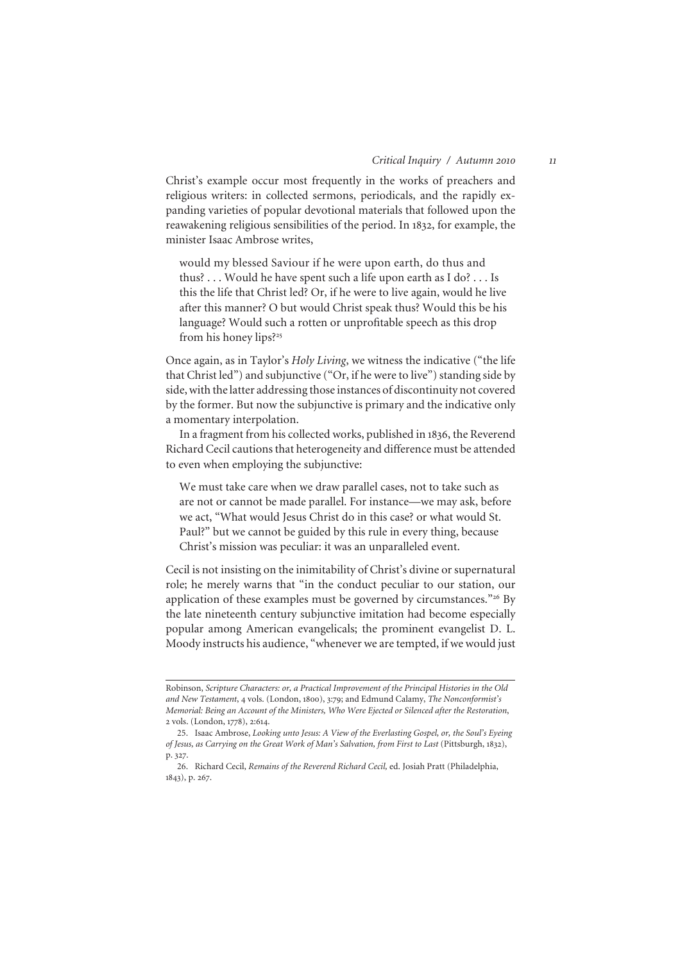Christ's example occur most frequently in the works of preachers and religious writers: in collected sermons, periodicals, and the rapidly expanding varieties of popular devotional materials that followed upon the reawakening religious sensibilities of the period. In 1832, for example, the minister Isaac Ambrose writes,

would my blessed Saviour if he were upon earth, do thus and thus? . . . Would he have spent such a life upon earth as I do? . . . Is this the life that Christ led? Or, if he were to live again, would he live after this manner? O but would Christ speak thus? Would this be his language? Would such a rotten or unprofitable speech as this drop from his honey lips?<sup>25</sup>

Once again, as in Taylor's *Holy Living*, we witness the indicative ("the life that Christ led") and subjunctive ("Or, if he were to live") standing side by side, with the latter addressing those instances of discontinuity not covered by the former. But now the subjunctive is primary and the indicative only a momentary interpolation.

In a fragment from his collected works, published in 1836, the Reverend Richard Cecil cautions that heterogeneity and difference must be attended to even when employing the subjunctive:

We must take care when we draw parallel cases, not to take such as are not or cannot be made parallel. For instance—we may ask, before we act, "What would Jesus Christ do in this case? or what would St. Paul?" but we cannot be guided by this rule in every thing, because Christ's mission was peculiar: it was an unparalleled event.

Cecil is not insisting on the inimitability of Christ's divine or supernatural role; he merely warns that "in the conduct peculiar to our station, our application of these examples must be governed by circumstances."<sup>26</sup> By the late nineteenth century subjunctive imitation had become especially popular among American evangelicals; the prominent evangelist D. L. Moody instructs his audience, "whenever we are tempted, if we would just

Robinson, *Scripture Characters: or, a Practical Improvement of the Principal Histories in the Old and New Testament*, 4 vols. (London, 1800), 3:79; and Edmund Calamy, *The Nonconformist's Memorial: Being an Account of the Ministers, Who Were Ejected or Silenced after the Restoration*, 2 vols. (London, 1778), 2:614.

<sup>25.</sup> Isaac Ambrose, *Looking unto Jesus: A View of the Everlasting Gospel, or, the Soul's Eyeing of Jesus, as Carrying on the Great Work of Man's Salvation, from First to Last* (Pittsburgh, 1832), p. 327.

<sup>26.</sup> Richard Cecil, *Remains of the Reverend Richard Cecil,* ed. Josiah Pratt (Philadelphia, 1843), p. 267.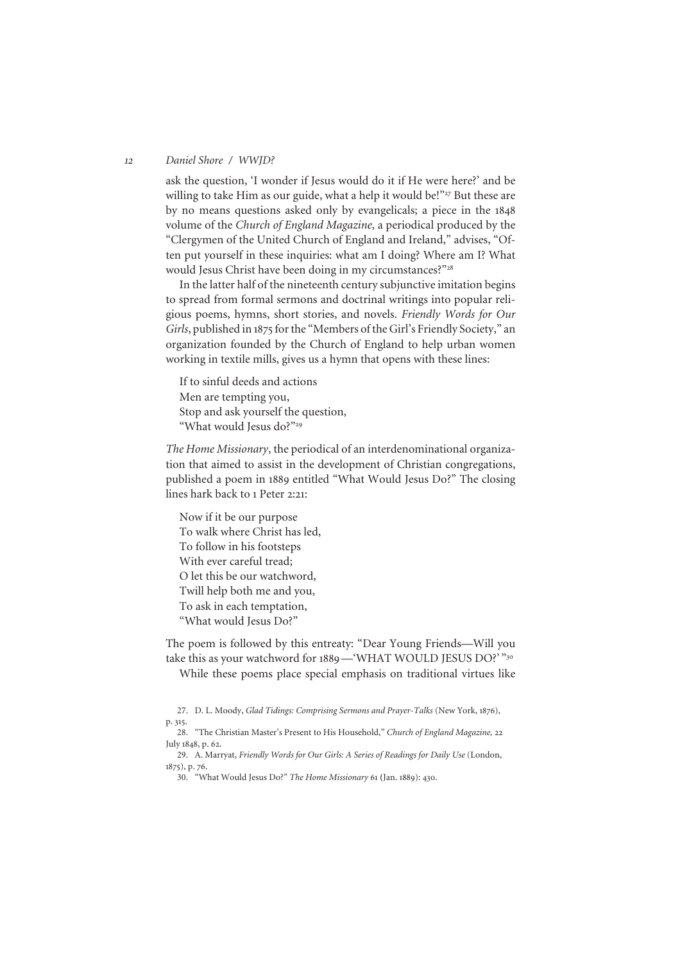ask the question, 'I wonder if Jesus would do it if He were here?' and be willing to take Him as our guide, what a help it would be!"<sup>27</sup> But these are by no means questions asked only by evangelicals; a piece in the 1848 volume of the *Church of England Magazine*, a periodical produced by the "Clergymen of the United Church of England and Ireland," advises, "Often put yourself in these inquiries: what am I doing? Where am I? What would Jesus Christ have been doing in my circumstances?"<sup>28</sup>

In the latter half of the nineteenth century subjunctive imitation begins to spread from formal sermons and doctrinal writings into popular religious poems, hymns, short stories, and novels. *Friendly Words for Our Girls*, published in 1875 for the "Members of the Girl's Friendly Society," an organization founded by the Church of England to help urban women working in textile mills, gives us a hymn that opens with these lines:

If to sinful deeds and actions Men are tempting you, Stop and ask yourself the question, "What would Jesus do?"<sup>29</sup>

*The Home Missionary*, the periodical of an interdenominational organization that aimed to assist in the development of Christian congregations, published a poem in 1889 entitled "What Would Jesus Do?" The closing lines hark back to 1 Peter 2:21:

Now if it be our purpose To walk where Christ has led, To follow in his footsteps With ever careful tread; O let this be our watchword, Twill help both me and you, To ask in each temptation, "What would Jesus Do?"

The poem is followed by this entreaty: "Dear Young Friends—Will you take this as your watchword for 1889—'WHAT WOULD JESUS DO?' "30 While these poems place special emphasis on traditional virtues like

<sup>27.</sup> D. L. Moody, *Glad Tidings: Comprising Sermons and Prayer-Talks* (New York, 1876), p. 315.

<sup>28. &</sup>quot;The Christian Master's Present to His Household," *Church of England Magazine,* 22 July 1848, p. 62.

<sup>29.</sup> A. Marryat, *Friendly Words for Our Girls: A Series of Readings for Daily Use* (London, 1875), p. 76.

<sup>30. &</sup>quot;What Would Jesus Do?" *The Home Missionary* 61 **(**Jan. 1889): 430.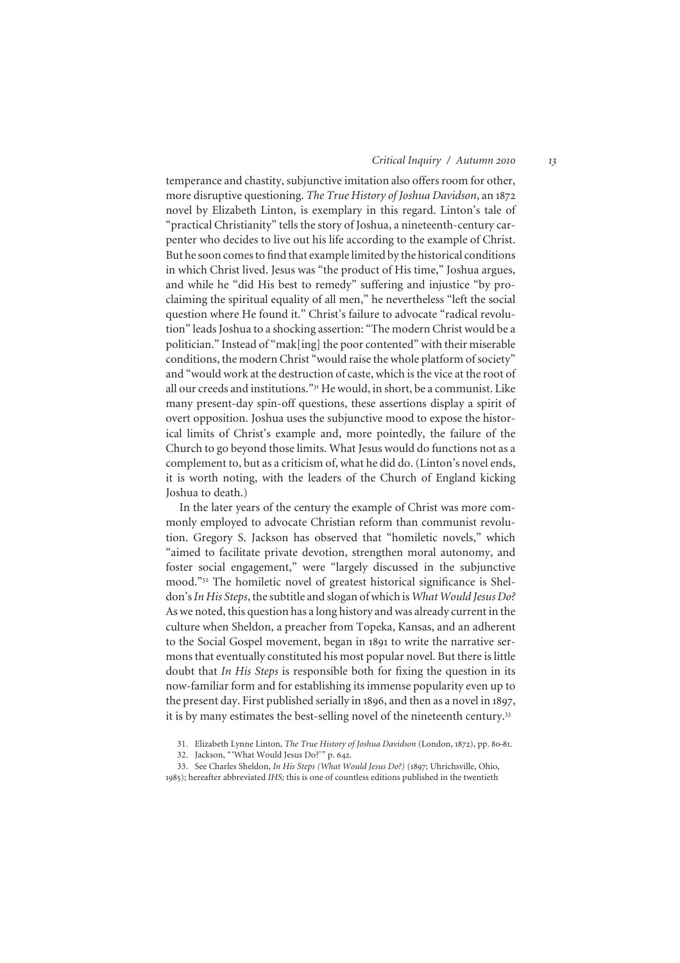#### *Critical Inquiry / Autumn 2010 13*

temperance and chastity, subjunctive imitation also offers room for other, more disruptive questioning. *The True History of Joshua Davidson*, an 1872 novel by Elizabeth Linton, is exemplary in this regard. Linton's tale of "practical Christianity" tells the story of Joshua, a nineteenth-century carpenter who decides to live out his life according to the example of Christ. But he soon comes to find that example limited by the historical conditions in which Christ lived. Jesus was "the product of His time," Joshua argues, and while he "did His best to remedy" suffering and injustice "by proclaiming the spiritual equality of all men," he nevertheless "left the social question where He found it." Christ's failure to advocate "radical revolution" leads Joshua to a shocking assertion: "The modern Christ would be a politician." Instead of "mak[ing] the poor contented" with their miserable conditions, the modern Christ "would raise the whole platform of society" and "would work at the destruction of caste, which is the vice at the root of all our creeds and institutions."<sup>31</sup> He would, in short, be a communist. Like many present-day spin-off questions, these assertions display a spirit of overt opposition. Joshua uses the subjunctive mood to expose the historical limits of Christ's example and, more pointedly, the failure of the Church to go beyond those limits. What Jesus would do functions not as a complement to, but as a criticism of, what he did do. (Linton's novel ends, it is worth noting, with the leaders of the Church of England kicking Joshua to death.)

In the later years of the century the example of Christ was more commonly employed to advocate Christian reform than communist revolution. Gregory S. Jackson has observed that "homiletic novels," which "aimed to facilitate private devotion, strengthen moral autonomy, and foster social engagement," were "largely discussed in the subjunctive mood."<sup>32</sup> The homiletic novel of greatest historical significance is Sheldon's*In His Steps*, the subtitle and slogan of which is *What Would Jesus Do?* As we noted, this question has a long history and was already current in the culture when Sheldon, a preacher from Topeka, Kansas, and an adherent to the Social Gospel movement, began in 1891 to write the narrative sermons that eventually constituted his most popular novel. But there is little doubt that *In His Steps* is responsible both for fixing the question in its now-familiar form and for establishing its immense popularity even up to the present day. First published serially in 1896, and then as a novel in 1897, it is by many estimates the best-selling novel of the nineteenth century.<sup>33</sup>

<sup>31.</sup> Elizabeth Lynne Linton, *The True History of Joshua Davidson* (London, 1872), pp. 80–81.

<sup>32.</sup> Jackson, "'What Would Jesus Do?'" p. 642.

<sup>33.</sup> See Charles Sheldon, *In His Steps (What Would Jesus Do?)* (1897; Uhrichsville, Ohio, 1985); hereafter abbreviated *IHS;* this is one of countless editions published in the twentieth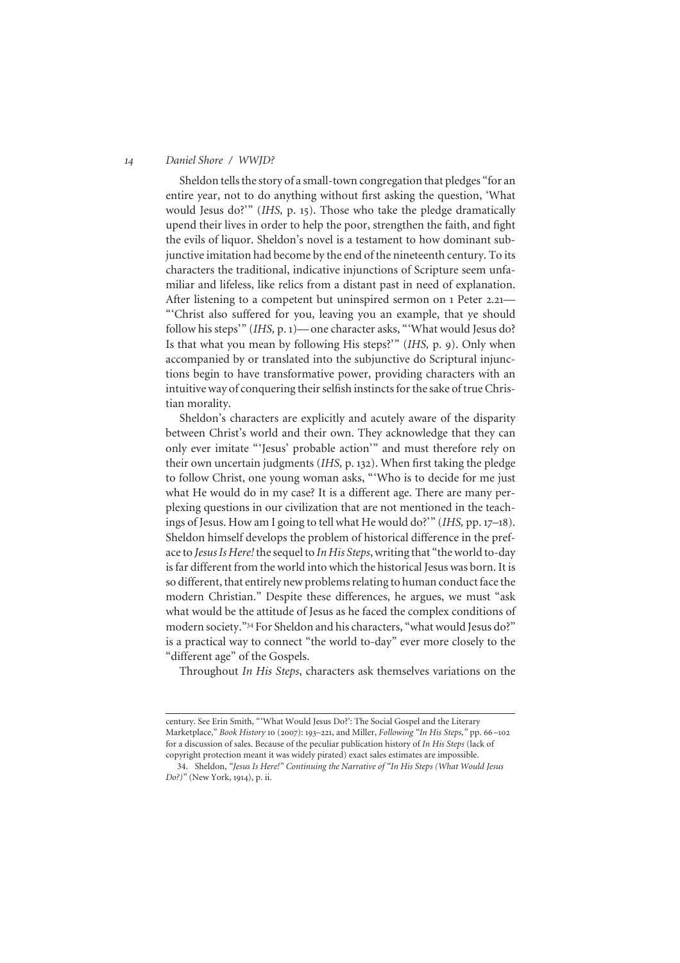Sheldon tells the story of a small-town congregation that pledges "for an entire year, not to do anything without first asking the question, 'What would Jesus do?'" (*IHS,* p. 15). Those who take the pledge dramatically upend their lives in order to help the poor, strengthen the faith, and fight the evils of liquor. Sheldon's novel is a testament to how dominant subjunctive imitation had become by the end of the nineteenth century. To its characters the traditional, indicative injunctions of Scripture seem unfamiliar and lifeless, like relics from a distant past in need of explanation. After listening to a competent but uninspired sermon on 1 Peter 2.21— "'Christ also suffered for you, leaving you an example, that ye should follow his steps'" (*IHS,* p. 1)— one character asks, "'What would Jesus do? Is that what you mean by following His steps?'" (*IHS,* p. 9). Only when accompanied by or translated into the subjunctive do Scriptural injunctions begin to have transformative power, providing characters with an intuitive way of conquering their selfish instincts for the sake of true Christian morality.

Sheldon's characters are explicitly and acutely aware of the disparity between Christ's world and their own. They acknowledge that they can only ever imitate "'Jesus' probable action'" and must therefore rely on their own uncertain judgments (*IHS,* p. 132). When first taking the pledge to follow Christ, one young woman asks, "'Who is to decide for me just what He would do in my case? It is a different age. There are many perplexing questions in our civilization that are not mentioned in the teachings of Jesus. How am I going to tell what He would do?'" (*IHS,* pp. 17–18). Sheldon himself develops the problem of historical difference in the preface to *Jesus Is Here!*the sequel to *In His Steps*, writing that "the world to-day is far different from the world into which the historical Jesus was born. It is so different, that entirely new problems relating to human conduct face the modern Christian." Despite these differences, he argues, we must "ask what would be the attitude of Jesus as he faced the complex conditions of modern society."<sup>34</sup> For Sheldon and his characters, "what would Jesus do?" is a practical way to connect "the world to-day" ever more closely to the "different age" of the Gospels.

Throughout *In His Steps*, characters ask themselves variations on the

century. See Erin Smith, "'What Would Jesus Do?': The Social Gospel and the Literary Marketplace," *Book History* 10 (2007): 193–221, and Miller, *Following "In His Steps,"* pp. 66–102 for a discussion of sales. Because of the peculiar publication history of *In His Steps* (lack of copyright protection meant it was widely pirated) exact sales estimates are impossible.

<sup>34.</sup> Sheldon, *"Jesus Is Here!" Continuing the Narrative of "In His Steps (What Would Jesus Do?)"* (New York, 1914), p. ii.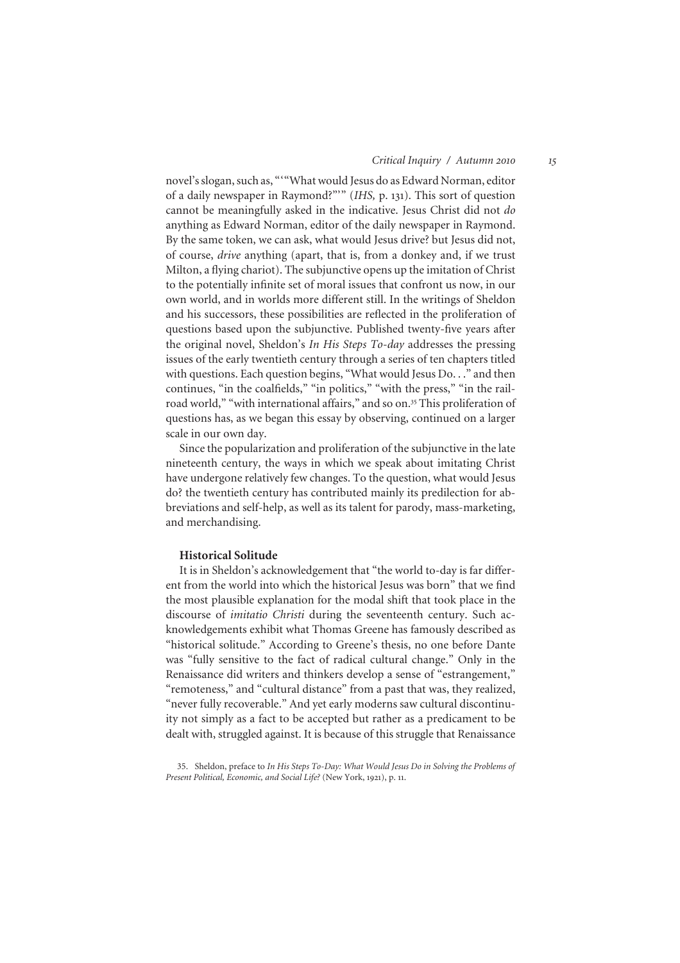novel's slogan, such as, "'"What would Jesus do as Edward Norman, editor of a daily newspaper in Raymond?"'" (*IHS,* p. 131). This sort of question cannot be meaningfully asked in the indicative. Jesus Christ did not *do* anything as Edward Norman, editor of the daily newspaper in Raymond. By the same token, we can ask, what would Jesus drive? but Jesus did not, of course, *drive* anything (apart, that is, from a donkey and, if we trust Milton, a flying chariot). The subjunctive opens up the imitation of Christ to the potentially infinite set of moral issues that confront us now, in our own world, and in worlds more different still. In the writings of Sheldon and his successors, these possibilities are reflected in the proliferation of questions based upon the subjunctive. Published twenty-five years after the original novel, Sheldon's *In His Steps To-day* addresses the pressing issues of the early twentieth century through a series of ten chapters titled with questions. Each question begins, "What would Jesus Do..." and then continues, "in the coalfields," "in politics," "with the press," "in the railroad world," "with international affairs," and so on.<sup>35</sup> This proliferation of questions has, as we began this essay by observing, continued on a larger scale in our own day.

Since the popularization and proliferation of the subjunctive in the late nineteenth century, the ways in which we speak about imitating Christ have undergone relatively few changes. To the question, what would Jesus do? the twentieth century has contributed mainly its predilection for abbreviations and self-help, as well as its talent for parody, mass-marketing, and merchandising.

#### **Historical Solitude**

It is in Sheldon's acknowledgement that "the world to-day is far different from the world into which the historical Jesus was born" that we find the most plausible explanation for the modal shift that took place in the discourse of *imitatio Christi* during the seventeenth century. Such acknowledgements exhibit what Thomas Greene has famously described as "historical solitude." According to Greene's thesis, no one before Dante was "fully sensitive to the fact of radical cultural change." Only in the Renaissance did writers and thinkers develop a sense of "estrangement," "remoteness," and "cultural distance" from a past that was, they realized, "never fully recoverable." And yet early moderns saw cultural discontinuity not simply as a fact to be accepted but rather as a predicament to be dealt with, struggled against. It is because of this struggle that Renaissance

35. Sheldon, preface to *In His Steps To-Day: What Would Jesus Do in Solving the Problems of Present Political, Economic, and Social Life?* (New York, 1921), p. 11.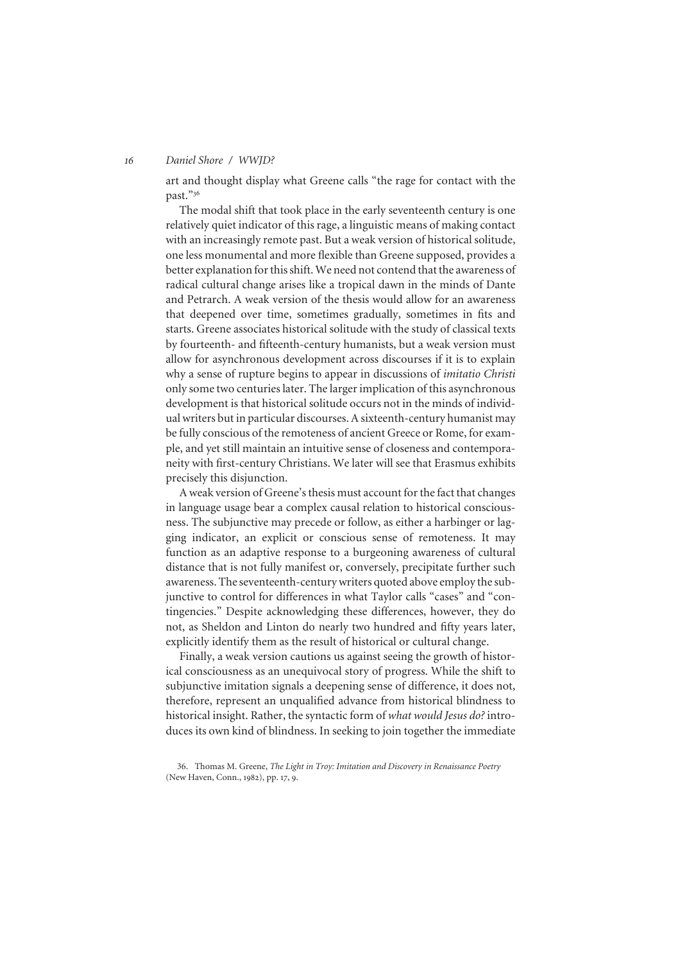art and thought display what Greene calls "the rage for contact with the past."<sup>36</sup>

The modal shift that took place in the early seventeenth century is one relatively quiet indicator of this rage, a linguistic means of making contact with an increasingly remote past. But a weak version of historical solitude, one less monumental and more flexible than Greene supposed, provides a better explanation for this shift.We need not contend that the awareness of radical cultural change arises like a tropical dawn in the minds of Dante and Petrarch. A weak version of the thesis would allow for an awareness that deepened over time, sometimes gradually, sometimes in fits and starts. Greene associates historical solitude with the study of classical texts by fourteenth- and fifteenth-century humanists, but a weak version must allow for asynchronous development across discourses if it is to explain why a sense of rupture begins to appear in discussions of *imitatio Christi* only some two centuries later. The larger implication of this asynchronous development is that historical solitude occurs not in the minds of individual writers but in particular discourses. A sixteenth-century humanist may be fully conscious of the remoteness of ancient Greece or Rome, for example, and yet still maintain an intuitive sense of closeness and contemporaneity with first-century Christians. We later will see that Erasmus exhibits precisely this disjunction.

A weak version of Greene's thesis must account for the fact that changes in language usage bear a complex causal relation to historical consciousness. The subjunctive may precede or follow, as either a harbinger or lagging indicator, an explicit or conscious sense of remoteness. It may function as an adaptive response to a burgeoning awareness of cultural distance that is not fully manifest or, conversely, precipitate further such awareness. The seventeenth-century writers quoted above employ the subjunctive to control for differences in what Taylor calls "cases" and "contingencies." Despite acknowledging these differences, however, they do not, as Sheldon and Linton do nearly two hundred and fifty years later, explicitly identify them as the result of historical or cultural change.

Finally, a weak version cautions us against seeing the growth of historical consciousness as an unequivocal story of progress. While the shift to subjunctive imitation signals a deepening sense of difference, it does not, therefore, represent an unqualified advance from historical blindness to historical insight. Rather, the syntactic form of *what would Jesus do?* introduces its own kind of blindness. In seeking to join together the immediate

<sup>36.</sup> Thomas M. Greene, *The Light in Troy: Imitation and Discovery in Renaissance Poetry* (New Haven, Conn., 1982), pp. 17, 9.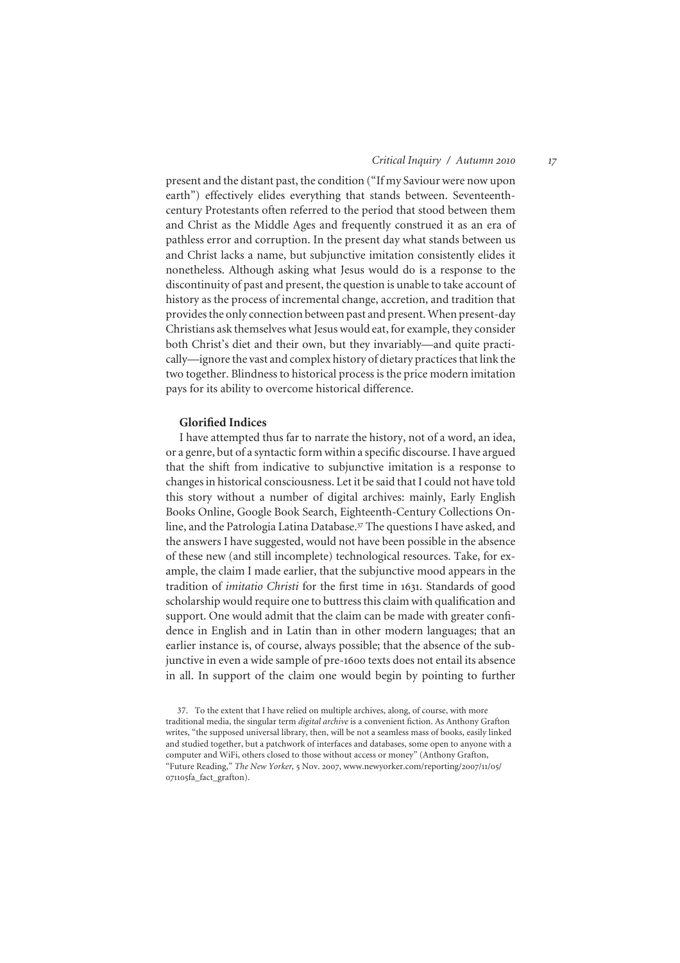present and the distant past, the condition ("If my Saviour were now upon earth") effectively elides everything that stands between. Seventeenthcentury Protestants often referred to the period that stood between them and Christ as the Middle Ages and frequently construed it as an era of pathless error and corruption. In the present day what stands between us and Christ lacks a name, but subjunctive imitation consistently elides it nonetheless. Although asking what Jesus would do is a response to the discontinuity of past and present, the question is unable to take account of history as the process of incremental change, accretion, and tradition that provides the only connection between past and present.When present-day Christians ask themselves what Jesus would eat, for example, they consider both Christ's diet and their own, but they invariably—and quite practically—ignore the vast and complex history of dietary practices that link the two together. Blindness to historical process is the price modern imitation pays for its ability to overcome historical difference.

### **Glorified Indices**

I have attempted thus far to narrate the history, not of a word, an idea, or a genre, but of a syntactic form within a specific discourse. I have argued that the shift from indicative to subjunctive imitation is a response to changes in historical consciousness. Let it be said that I could not have told this story without a number of digital archives: mainly, Early English Books Online, Google Book Search, Eighteenth-Century Collections Online, and the Patrologia Latina Database.<sup>37</sup> The questions I have asked, and the answers I have suggested, would not have been possible in the absence of these new (and still incomplete) technological resources. Take, for example, the claim I made earlier, that the subjunctive mood appears in the tradition of *imitatio Christi* for the first time in 1631. Standards of good scholarship would require one to buttress this claim with qualification and support. One would admit that the claim can be made with greater confidence in English and in Latin than in other modern languages; that an earlier instance is, of course, always possible; that the absence of the subjunctive in even a wide sample of pre-1600 texts does not entail its absence in all. In support of the claim one would begin by pointing to further

<sup>37.</sup> To the extent that I have relied on multiple archives, along, of course, with more traditional media, the singular term *digital archive* is a convenient fiction. As Anthony Grafton writes, "the supposed universal library, then, will be not a seamless mass of books, easily linked and studied together, but a patchwork of interfaces and databases, some open to anyone with a computer and WiFi, others closed to those without access or money" (Anthony Grafton, "Future Reading," *The New Yorker,* 5 Nov. 2007, www.newyorker.com/reporting/2007/11/05/ 071105fa\_fact\_grafton).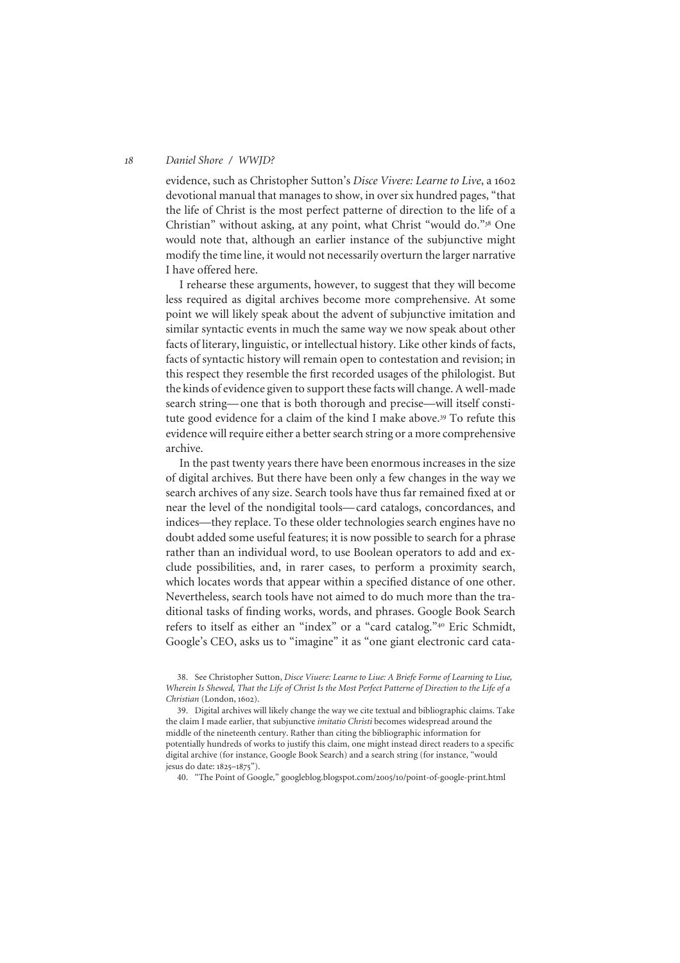evidence, such as Christopher Sutton's *Disce Vivere: Learne to Live*, a 1602 devotional manual that manages to show, in over six hundred pages, "that the life of Christ is the most perfect patterne of direction to the life of a Christian" without asking, at any point, what Christ "would do."<sup>38</sup> One would note that, although an earlier instance of the subjunctive might modify the time line, it would not necessarily overturn the larger narrative I have offered here.

I rehearse these arguments, however, to suggest that they will become less required as digital archives become more comprehensive. At some point we will likely speak about the advent of subjunctive imitation and similar syntactic events in much the same way we now speak about other facts of literary, linguistic, or intellectual history. Like other kinds of facts, facts of syntactic history will remain open to contestation and revision; in this respect they resemble the first recorded usages of the philologist. But the kinds of evidence given to support these facts will change. A well-made search string— one that is both thorough and precise—will itself constitute good evidence for a claim of the kind I make above.<sup>39</sup> To refute this evidence will require either a better search string or a more comprehensive archive.

In the past twenty years there have been enormous increases in the size of digital archives. But there have been only a few changes in the way we search archives of any size. Search tools have thus far remained fixed at or near the level of the nondigital tools— card catalogs, concordances, and indices—they replace. To these older technologies search engines have no doubt added some useful features; it is now possible to search for a phrase rather than an individual word, to use Boolean operators to add and exclude possibilities, and, in rarer cases, to perform a proximity search, which locates words that appear within a specified distance of one other. Nevertheless, search tools have not aimed to do much more than the traditional tasks of finding works, words, and phrases. Google Book Search refers to itself as either an "index" or a "card catalog."<sup>40</sup> Eric Schmidt, Google's CEO, asks us to "imagine" it as "one giant electronic card cata-

38. See Christopher Sutton, *Disce Viuere: Learne to Liue: A Briefe Forme of Learning to Liue, Wherein Is Shewed, That the Life of Christ Is the Most Perfect Patterne of Direction to the Life of a Christian* (London, 1602).

39. Digital archives will likely change the way we cite textual and bibliographic claims. Take the claim I made earlier, that subjunctive *imitatio Christi* becomes widespread around the middle of the nineteenth century. Rather than citing the bibliographic information for potentially hundreds of works to justify this claim, one might instead direct readers to a specific digital archive (for instance, Google Book Search) and a search string (for instance, "would jesus do date: 1825–1875").

40. "The Point of Google*,*" googleblog.blogspot.com/2005/10/point-of-google-print.html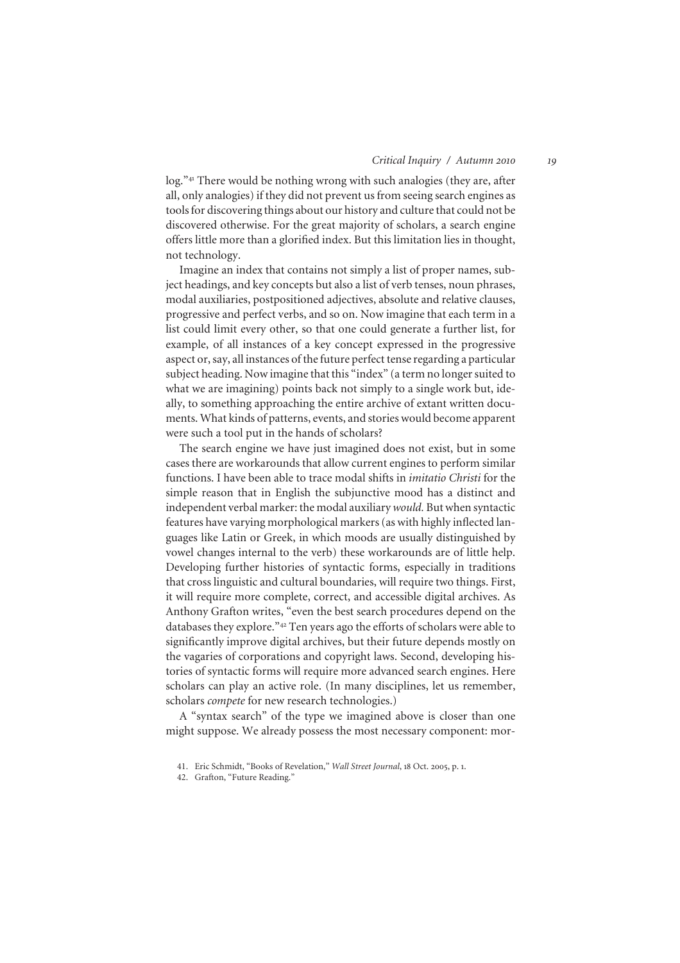log."<sup>41</sup> There would be nothing wrong with such analogies (they are, after all, only analogies) if they did not prevent us from seeing search engines as tools for discovering things about our history and culture that could not be discovered otherwise. For the great majority of scholars, a search engine offers little more than a glorified index. But this limitation lies in thought, not technology.

Imagine an index that contains not simply a list of proper names, subject headings, and key concepts but also a list of verb tenses, noun phrases, modal auxiliaries, postpositioned adjectives, absolute and relative clauses, progressive and perfect verbs, and so on. Now imagine that each term in a list could limit every other, so that one could generate a further list, for example, of all instances of a key concept expressed in the progressive aspect or, say, all instances of the future perfect tense regarding a particular subject heading. Now imagine that this "index" (a term no longer suited to what we are imagining) points back not simply to a single work but, ideally, to something approaching the entire archive of extant written documents. What kinds of patterns, events, and stories would become apparent were such a tool put in the hands of scholars?

The search engine we have just imagined does not exist, but in some cases there are workarounds that allow current engines to perform similar functions. I have been able to trace modal shifts in *imitatio Christi* for the simple reason that in English the subjunctive mood has a distinct and independent verbal marker: the modal auxiliary*would.* But when syntactic features have varying morphological markers (as with highly inflected languages like Latin or Greek, in which moods are usually distinguished by vowel changes internal to the verb) these workarounds are of little help. Developing further histories of syntactic forms, especially in traditions that cross linguistic and cultural boundaries, will require two things. First, it will require more complete, correct, and accessible digital archives. As Anthony Grafton writes, "even the best search procedures depend on the databases they explore."<sup>42</sup> Ten years ago the efforts of scholars were able to significantly improve digital archives, but their future depends mostly on the vagaries of corporations and copyright laws. Second, developing histories of syntactic forms will require more advanced search engines. Here scholars can play an active role. (In many disciplines, let us remember, scholars *compete* for new research technologies.)

A "syntax search" of the type we imagined above is closer than one might suppose. We already possess the most necessary component: mor-

<sup>41.</sup> Eric Schmidt, "Books of Revelation," *Wall Street Journal*, 18 Oct. 2005, p. 1.

<sup>42.</sup> Grafton, "Future Reading."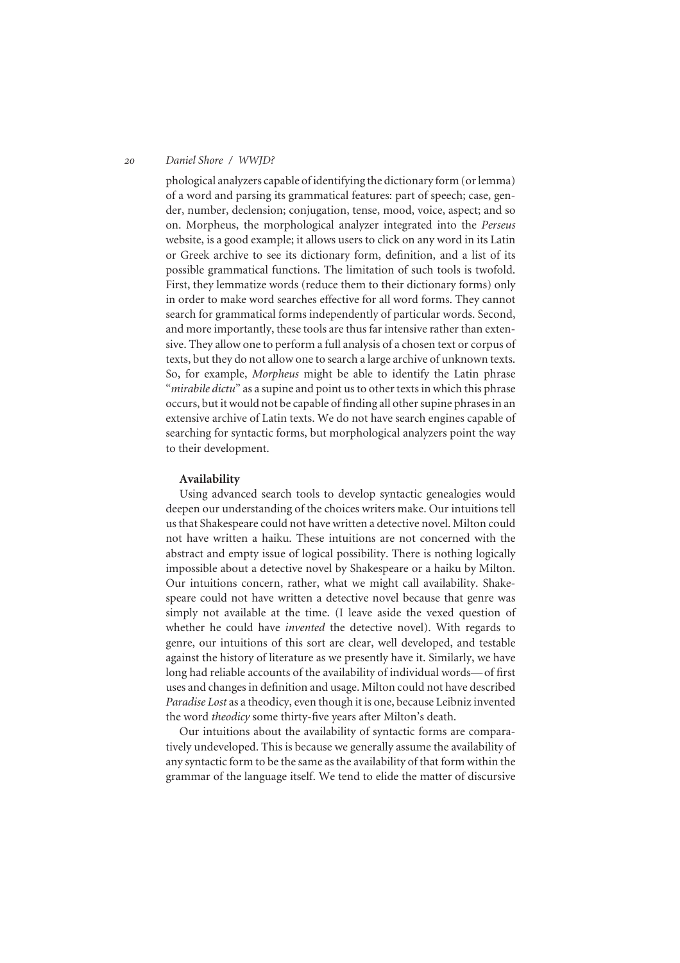phological analyzers capable of identifying the dictionary form (or lemma) of a word and parsing its grammatical features: part of speech; case, gender, number, declension; conjugation, tense, mood, voice, aspect; and so on. Morpheus, the morphological analyzer integrated into the *Perseus* website, is a good example; it allows users to click on any word in its Latin or Greek archive to see its dictionary form, definition, and a list of its possible grammatical functions. The limitation of such tools is twofold. First, they lemmatize words (reduce them to their dictionary forms) only in order to make word searches effective for all word forms. They cannot search for grammatical forms independently of particular words. Second, and more importantly, these tools are thus far intensive rather than extensive. They allow one to perform a full analysis of a chosen text or corpus of texts, but they do not allow one to search a large archive of unknown texts. So, for example, *Morpheus* might be able to identify the Latin phrase "*mirabile dictu*" as a supine and point us to other texts in which this phrase occurs, but it would not be capable of finding all other supine phrases in an extensive archive of Latin texts. We do not have search engines capable of searching for syntactic forms, but morphological analyzers point the way to their development.

#### **Availability**

Using advanced search tools to develop syntactic genealogies would deepen our understanding of the choices writers make. Our intuitions tell us that Shakespeare could not have written a detective novel. Milton could not have written a haiku. These intuitions are not concerned with the abstract and empty issue of logical possibility. There is nothing logically impossible about a detective novel by Shakespeare or a haiku by Milton. Our intuitions concern, rather, what we might call availability. Shakespeare could not have written a detective novel because that genre was simply not available at the time. (I leave aside the vexed question of whether he could have *invented* the detective novel). With regards to genre, our intuitions of this sort are clear, well developed, and testable against the history of literature as we presently have it. Similarly, we have long had reliable accounts of the availability of individual words— of first uses and changes in definition and usage. Milton could not have described *Paradise Lost* as a theodicy, even though it is one, because Leibniz invented the word *theodicy* some thirty-five years after Milton's death.

Our intuitions about the availability of syntactic forms are comparatively undeveloped. This is because we generally assume the availability of any syntactic form to be the same as the availability of that form within the grammar of the language itself. We tend to elide the matter of discursive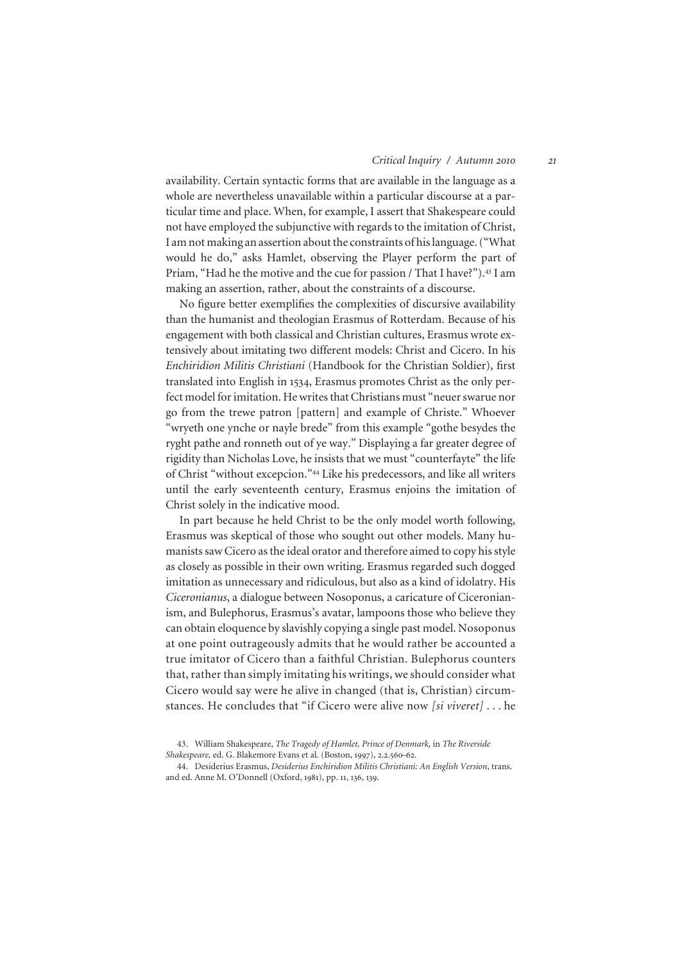#### *Critical Inquiry / Autumn 2010 21*

availability. Certain syntactic forms that are available in the language as a whole are nevertheless unavailable within a particular discourse at a particular time and place. When, for example, I assert that Shakespeare could not have employed the subjunctive with regards to the imitation of Christ, I am not making an assertion about the constraints of his language. ("What would he do," asks Hamlet, observing the Player perform the part of Priam, "Had he the motive and the cue for passion / That I have?").<sup>43</sup> I am making an assertion, rather, about the constraints of a discourse.

No figure better exemplifies the complexities of discursive availability than the humanist and theologian Erasmus of Rotterdam. Because of his engagement with both classical and Christian cultures, Erasmus wrote extensively about imitating two different models: Christ and Cicero. In his *Enchiridion Militis Christiani* (Handbook for the Christian Soldier), first translated into English in 1534, Erasmus promotes Christ as the only perfect model for imitation. He writes that Christians must "neuer swarue nor go from the trewe patron [pattern] and example of Christe." Whoever "wryeth one ynche or nayle brede" from this example "gothe besydes the ryght pathe and ronneth out of ye way." Displaying a far greater degree of rigidity than Nicholas Love, he insists that we must "counterfayte" the life of Christ "without excepcion."<sup>44</sup> Like his predecessors, and like all writers until the early seventeenth century, Erasmus enjoins the imitation of Christ solely in the indicative mood.

In part because he held Christ to be the only model worth following, Erasmus was skeptical of those who sought out other models. Many humanists saw Cicero as the ideal orator and therefore aimed to copy his style as closely as possible in their own writing. Erasmus regarded such dogged imitation as unnecessary and ridiculous, but also as a kind of idolatry. His *Ciceronianus*, a dialogue between Nosoponus, a caricature of Ciceronianism, and Bulephorus, Erasmus's avatar, lampoons those who believe they can obtain eloquence by slavishly copying a single past model. Nosoponus at one point outrageously admits that he would rather be accounted a true imitator of Cicero than a faithful Christian. Bulephorus counters that, rather than simply imitating his writings, we should consider what Cicero would say were he alive in changed (that is, Christian) circumstances. He concludes that "if Cicero were alive now *[si viveret]* . . . he

<sup>43.</sup> William Shakespeare, *The Tragedy of Hamlet, Prince of Denmark,* in *The Riverside Shakespeare,* ed. G. Blakemore Evans et al. (Boston, 1997), 2.2.560–62.

<sup>44.</sup> Desiderius Erasmus, *Desiderius Enchiridion Militis Christiani: An English Version*, trans. and ed. Anne M. O'Donnell (Oxford, 1981), pp. 11, 136, 139.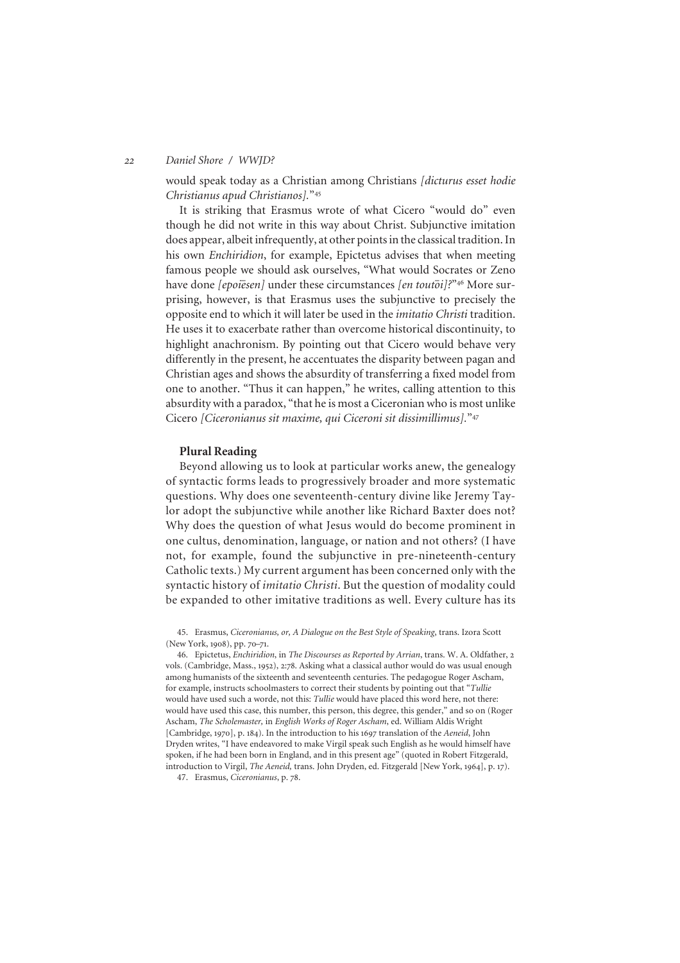would speak today as a Christian among Christians *[dicturus esset hodie Christianus apud Christianos].*" 45

It is striking that Erasmus wrote of what Cicero "would do" even though he did not write in this way about Christ. Subjunctive imitation does appear, albeit infrequently, at other points in the classical tradition. In his own *Enchiridion*, for example, Epictetus advises that when meeting famous people we should ask ourselves, "What would Socrates or Zeno have done *[epoiesen]* under these circumstances *[en toutõi]?*"<sup>46</sup> More surprising, however, is that Erasmus uses the subjunctive to precisely the opposite end to which it will later be used in the *imitatio Christi* tradition. He uses it to exacerbate rather than overcome historical discontinuity, to highlight anachronism. By pointing out that Cicero would behave very differently in the present, he accentuates the disparity between pagan and Christian ages and shows the absurdity of transferring a fixed model from one to another. "Thus it can happen," he writes, calling attention to this absurdity with a paradox, "that he is most a Ciceronian who is most unlike Cicero *[Ciceronianus sit maxime, qui Ciceroni sit dissimillimus].*" 47

### **Plural Reading**

Beyond allowing us to look at particular works anew, the genealogy of syntactic forms leads to progressively broader and more systematic questions. Why does one seventeenth-century divine like Jeremy Taylor adopt the subjunctive while another like Richard Baxter does not? Why does the question of what Jesus would do become prominent in one cultus, denomination, language, or nation and not others? (I have not, for example, found the subjunctive in pre-nineteenth-century Catholic texts.) My current argument has been concerned only with the syntactic history of *imitatio Christi*. But the question of modality could be expanded to other imitative traditions as well. Every culture has its

45. Erasmus, *Ciceronianus, or, A Dialogue on the Best Style of Speaking*, trans. Izora Scott (New York, 1908), pp. 70–71.

46. Epictetus, *Enchiridion*, in *The Discourses as Reported by Arrian*, trans. W. A. Oldfather, 2 vols. (Cambridge, Mass., 1952), 2:78. Asking what a classical author would do was usual enough among humanists of the sixteenth and seventeenth centuries. The pedagogue Roger Ascham, for example, instructs schoolmasters to correct their students by pointing out that "*Tullie* would have used such a worde, not this: *Tullie* would have placed this word here, not there: would have used this case, this number, this person, this degree, this gender," and so on (Roger Ascham, *The Scholemaster,* in *English Works of Roger Ascham*, ed. William Aldis Wright [Cambridge, 1970], p. 184). In the introduction to his 1697 translation of the *Aeneid*, John Dryden writes, "I have endeavored to make Virgil speak such English as he would himself have spoken, if he had been born in England, and in this present age" (quoted in Robert Fitzgerald, introduction to Virgil, *The Aeneid,* trans. John Dryden, ed. Fitzgerald [New York, 1964], p. 17).

47. Erasmus, *Ciceronianus*, p. 78.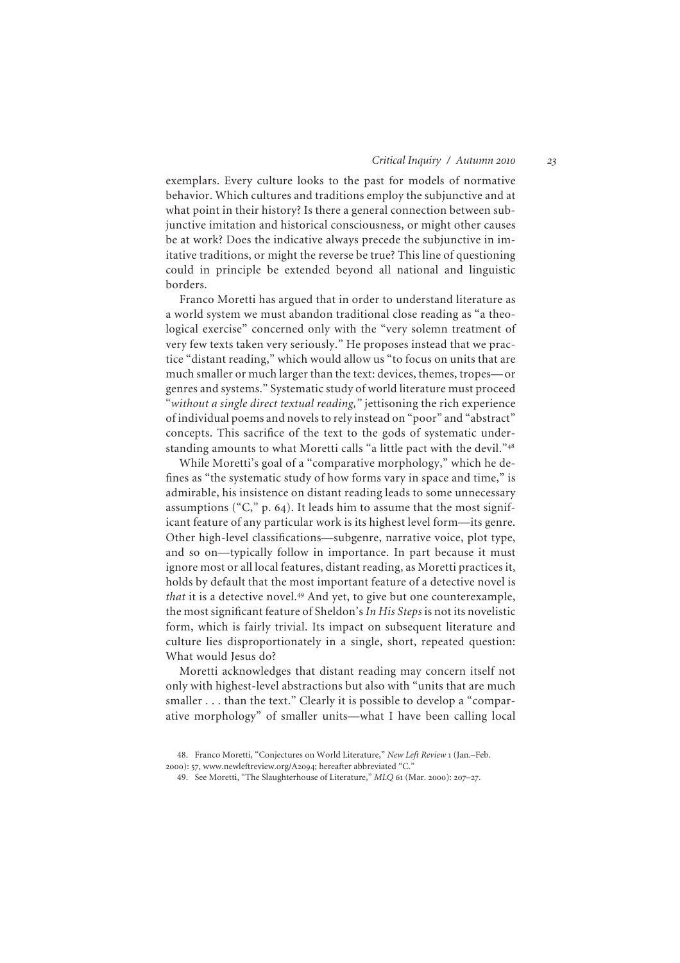exemplars. Every culture looks to the past for models of normative behavior. Which cultures and traditions employ the subjunctive and at what point in their history? Is there a general connection between subjunctive imitation and historical consciousness, or might other causes be at work? Does the indicative always precede the subjunctive in imitative traditions, or might the reverse be true? This line of questioning could in principle be extended beyond all national and linguistic borders.

Franco Moretti has argued that in order to understand literature as a world system we must abandon traditional close reading as "a theological exercise" concerned only with the "very solemn treatment of very few texts taken very seriously." He proposes instead that we practice "distant reading," which would allow us "to focus on units that are much smaller or much larger than the text: devices, themes, tropes— or genres and systems." Systematic study of world literature must proceed "*without a single direct textual reading,"* jettisoning the rich experience of individual poems and novels to rely instead on "poor" and "abstract" concepts. This sacrifice of the text to the gods of systematic understanding amounts to what Moretti calls "a little pact with the devil."<sup>48</sup>

While Moretti's goal of a "comparative morphology," which he defines as "the systematic study of how forms vary in space and time," is admirable, his insistence on distant reading leads to some unnecessary assumptions ("C," p. 64). It leads him to assume that the most significant feature of any particular work is its highest level form—its genre. Other high-level classifications—subgenre, narrative voice, plot type, and so on—typically follow in importance. In part because it must ignore most or all local features, distant reading, as Moretti practices it, holds by default that the most important feature of a detective novel is *that* it is a detective novel.<sup>49</sup> And yet, to give but one counterexample, the most significant feature of Sheldon's *In His Steps* is not its novelistic form, which is fairly trivial. Its impact on subsequent literature and culture lies disproportionately in a single, short, repeated question: What would Jesus do?

Moretti acknowledges that distant reading may concern itself not only with highest-level abstractions but also with "units that are much smaller . . . than the text." Clearly it is possible to develop a "comparative morphology" of smaller units—what I have been calling local

<sup>48.</sup> Franco Moretti, "Conjectures on World Literature," *New Left Review* 1 (Jan.–Feb. 2000): 57, www.newleftreview.org/A2094; hereafter abbreviated "C."

<sup>49.</sup> See Moretti, "The Slaughterhouse of Literature," *MLQ* 61 (Mar. 2000): 207–27.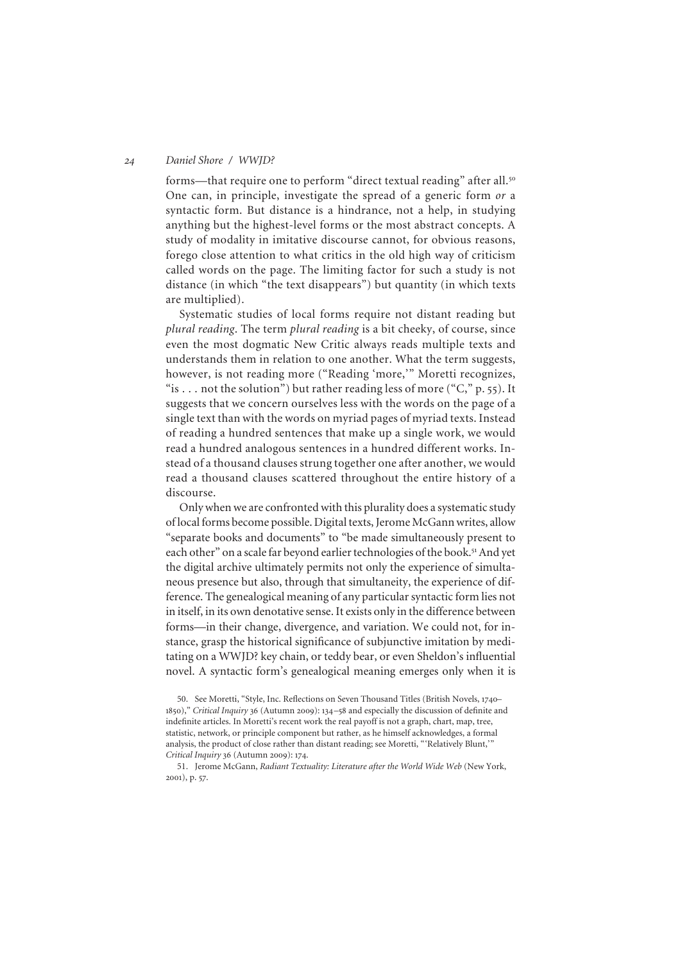forms—that require one to perform "direct textual reading" after all.<sup>50</sup> One can, in principle, investigate the spread of a generic form *or* a syntactic form. But distance is a hindrance, not a help, in studying anything but the highest-level forms or the most abstract concepts. A study of modality in imitative discourse cannot, for obvious reasons, forego close attention to what critics in the old high way of criticism called words on the page. The limiting factor for such a study is not distance (in which "the text disappears") but quantity (in which texts are multiplied).

Systematic studies of local forms require not distant reading but *plural reading*. The term *plural reading* is a bit cheeky, of course, since even the most dogmatic New Critic always reads multiple texts and understands them in relation to one another. What the term suggests, however, is not reading more ("Reading 'more,'" Moretti recognizes, "is . . . not the solution" but rather reading less of more (" $C$ ,", p. 55). It suggests that we concern ourselves less with the words on the page of a single text than with the words on myriad pages of myriad texts. Instead of reading a hundred sentences that make up a single work, we would read a hundred analogous sentences in a hundred different works. Instead of a thousand clauses strung together one after another, we would read a thousand clauses scattered throughout the entire history of a discourse.

Only when we are confronted with this plurality does a systematic study of local forms become possible. Digital texts, Jerome McGann writes, allow "separate books and documents" to "be made simultaneously present to each other" on a scale far beyond earlier technologies of the book.<sup>51</sup> And yet the digital archive ultimately permits not only the experience of simultaneous presence but also, through that simultaneity, the experience of difference. The genealogical meaning of any particular syntactic form lies not in itself, in its own denotative sense. It exists only in the difference between forms—in their change, divergence, and variation. We could not, for instance, grasp the historical significance of subjunctive imitation by meditating on a WWJD? key chain, or teddy bear, or even Sheldon's influential novel. A syntactic form's genealogical meaning emerges only when it is

51. Jerome McGann, *Radiant Textuality: Literature after the World Wide Web* (New York, 2001), p. 57.

<sup>50.</sup> See Moretti, "Style, Inc. Reflections on Seven Thousand Titles (British Novels, 1740– 1850)," *Critical Inquiry* 36 (Autumn 2009): 134–58 and especially the discussion of definite and indefinite articles. In Moretti's recent work the real payoff is not a graph, chart, map, tree, statistic, network, or principle component but rather, as he himself acknowledges, a formal analysis, the product of close rather than distant reading; see Moretti, "'Relatively Blunt,'" *Critical Inquiry* 36 (Autumn 2009): 174.